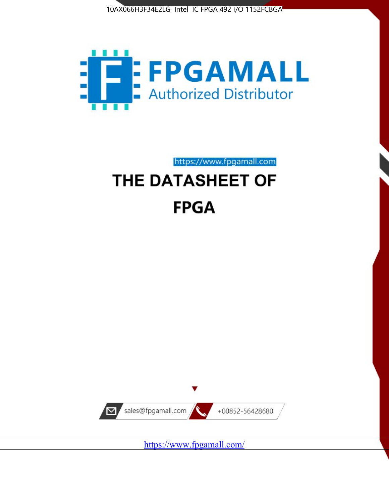



https://www.fpgamall.com

# THE DATASHEET OF **FPGA**



<https://www.fpgamall.com/>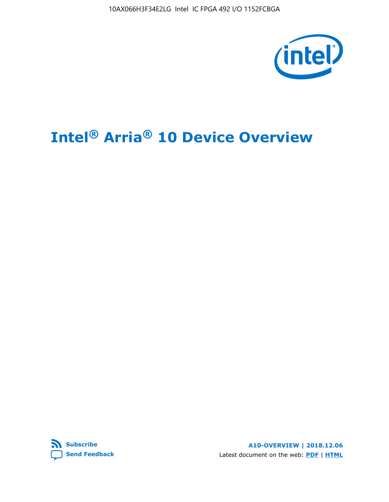10AX066H3F34E2LG Intel IC FPGA 492 I/O 1152FCBGA



# **Intel® Arria® 10 Device Overview**



**A10-OVERVIEW | 2018.12.06** Latest document on the web: **[PDF](https://www.intel.com/content/dam/www/programmable/us/en/pdfs/literature/hb/arria-10/a10_overview.pdf)** | **[HTML](https://www.intel.com/content/www/us/en/programmable/documentation/sam1403480274650.html)**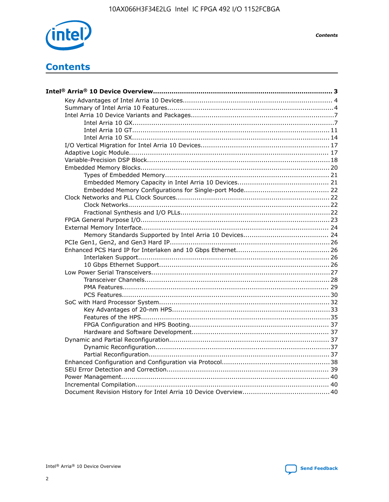

**Contents** 

# **Contents**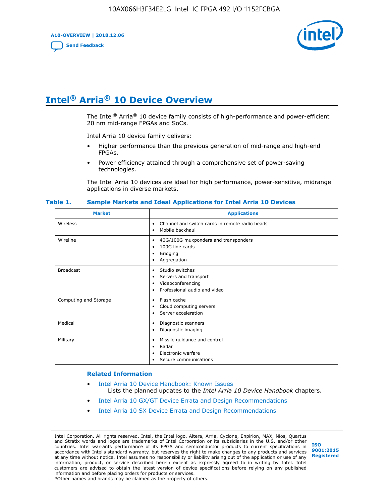**A10-OVERVIEW | 2018.12.06**

**[Send Feedback](mailto:FPGAtechdocfeedback@intel.com?subject=Feedback%20on%20Intel%20Arria%2010%20Device%20Overview%20(A10-OVERVIEW%202018.12.06)&body=We%20appreciate%20your%20feedback.%20In%20your%20comments,%20also%20specify%20the%20page%20number%20or%20paragraph.%20Thank%20you.)**



# **Intel® Arria® 10 Device Overview**

The Intel<sup>®</sup> Arria<sup>®</sup> 10 device family consists of high-performance and power-efficient 20 nm mid-range FPGAs and SoCs.

Intel Arria 10 device family delivers:

- Higher performance than the previous generation of mid-range and high-end FPGAs.
- Power efficiency attained through a comprehensive set of power-saving technologies.

The Intel Arria 10 devices are ideal for high performance, power-sensitive, midrange applications in diverse markets.

| <b>Market</b>         | <b>Applications</b>                                                                                               |
|-----------------------|-------------------------------------------------------------------------------------------------------------------|
| Wireless              | Channel and switch cards in remote radio heads<br>٠<br>Mobile backhaul<br>٠                                       |
| Wireline              | 40G/100G muxponders and transponders<br>٠<br>100G line cards<br>٠<br><b>Bridging</b><br>٠<br>Aggregation<br>٠     |
| <b>Broadcast</b>      | Studio switches<br>٠<br>Servers and transport<br>٠<br>Videoconferencing<br>٠<br>Professional audio and video<br>٠ |
| Computing and Storage | Flash cache<br>٠<br>Cloud computing servers<br>٠<br>Server acceleration<br>٠                                      |
| Medical               | Diagnostic scanners<br>٠<br>Diagnostic imaging<br>٠                                                               |
| Military              | Missile guidance and control<br>٠<br>Radar<br>٠<br>Electronic warfare<br>٠<br>Secure communications<br>٠          |

#### **Table 1. Sample Markets and Ideal Applications for Intel Arria 10 Devices**

#### **Related Information**

- [Intel Arria 10 Device Handbook: Known Issues](http://www.altera.com/support/kdb/solutions/rd07302013_646.html) Lists the planned updates to the *Intel Arria 10 Device Handbook* chapters.
- [Intel Arria 10 GX/GT Device Errata and Design Recommendations](https://www.intel.com/content/www/us/en/programmable/documentation/agz1493851706374.html#yqz1494433888646)
- [Intel Arria 10 SX Device Errata and Design Recommendations](https://www.intel.com/content/www/us/en/programmable/documentation/cru1462832385668.html#cru1462832558642)

Intel Corporation. All rights reserved. Intel, the Intel logo, Altera, Arria, Cyclone, Enpirion, MAX, Nios, Quartus and Stratix words and logos are trademarks of Intel Corporation or its subsidiaries in the U.S. and/or other countries. Intel warrants performance of its FPGA and semiconductor products to current specifications in accordance with Intel's standard warranty, but reserves the right to make changes to any products and services at any time without notice. Intel assumes no responsibility or liability arising out of the application or use of any information, product, or service described herein except as expressly agreed to in writing by Intel. Intel customers are advised to obtain the latest version of device specifications before relying on any published information and before placing orders for products or services. \*Other names and brands may be claimed as the property of others.

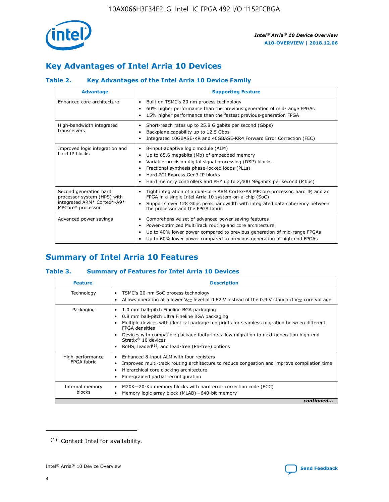

# **Key Advantages of Intel Arria 10 Devices**

## **Table 2. Key Advantages of the Intel Arria 10 Device Family**

| <b>Advantage</b>                                                                                          | <b>Supporting Feature</b>                                                                                                                                                                                                                                                                                                |
|-----------------------------------------------------------------------------------------------------------|--------------------------------------------------------------------------------------------------------------------------------------------------------------------------------------------------------------------------------------------------------------------------------------------------------------------------|
| Enhanced core architecture                                                                                | Built on TSMC's 20 nm process technology<br>٠<br>60% higher performance than the previous generation of mid-range FPGAs<br>٠<br>15% higher performance than the fastest previous-generation FPGA<br>٠                                                                                                                    |
| High-bandwidth integrated<br>transceivers                                                                 | Short-reach rates up to 25.8 Gigabits per second (Gbps)<br>٠<br>Backplane capability up to 12.5 Gbps<br>٠<br>Integrated 10GBASE-KR and 40GBASE-KR4 Forward Error Correction (FEC)<br>٠                                                                                                                                   |
| Improved logic integration and<br>hard IP blocks                                                          | 8-input adaptive logic module (ALM)<br>٠<br>Up to 65.6 megabits (Mb) of embedded memory<br>٠<br>Variable-precision digital signal processing (DSP) blocks<br>Fractional synthesis phase-locked loops (PLLs)<br>Hard PCI Express Gen3 IP blocks<br>Hard memory controllers and PHY up to 2,400 Megabits per second (Mbps) |
| Second generation hard<br>processor system (HPS) with<br>integrated ARM* Cortex*-A9*<br>MPCore* processor | Tight integration of a dual-core ARM Cortex-A9 MPCore processor, hard IP, and an<br>٠<br>FPGA in a single Intel Arria 10 system-on-a-chip (SoC)<br>Supports over 128 Gbps peak bandwidth with integrated data coherency between<br>$\bullet$<br>the processor and the FPGA fabric                                        |
| Advanced power savings                                                                                    | Comprehensive set of advanced power saving features<br>٠<br>Power-optimized MultiTrack routing and core architecture<br>٠<br>Up to 40% lower power compared to previous generation of mid-range FPGAs<br>Up to 60% lower power compared to previous generation of high-end FPGAs                                         |

# **Summary of Intel Arria 10 Features**

## **Table 3. Summary of Features for Intel Arria 10 Devices**

| <b>Feature</b>                  | <b>Description</b>                                                                                                                                                                                                                                                                                                                                                                                       |
|---------------------------------|----------------------------------------------------------------------------------------------------------------------------------------------------------------------------------------------------------------------------------------------------------------------------------------------------------------------------------------------------------------------------------------------------------|
| Technology                      | TSMC's 20-nm SoC process technology<br>٠<br>Allows operation at a lower $V_{\text{CC}}$ level of 0.82 V instead of the 0.9 V standard $V_{\text{CC}}$ core voltage                                                                                                                                                                                                                                       |
| Packaging                       | 1.0 mm ball-pitch Fineline BGA packaging<br>0.8 mm ball-pitch Ultra Fineline BGA packaging<br>Multiple devices with identical package footprints for seamless migration between different<br><b>FPGA</b> densities<br>Devices with compatible package footprints allow migration to next generation high-end<br>Stratix $\mathcal{R}$ 10 devices<br>RoHS, leaded $(1)$ , and lead-free (Pb-free) options |
| High-performance<br>FPGA fabric | Enhanced 8-input ALM with four registers<br>٠<br>Improved multi-track routing architecture to reduce congestion and improve compilation time<br>Hierarchical core clocking architecture<br>Fine-grained partial reconfiguration                                                                                                                                                                          |
| Internal memory<br>blocks       | M20K-20-Kb memory blocks with hard error correction code (ECC)<br>Memory logic array block (MLAB)-640-bit memory                                                                                                                                                                                                                                                                                         |
|                                 | continued                                                                                                                                                                                                                                                                                                                                                                                                |



<sup>(1)</sup> Contact Intel for availability.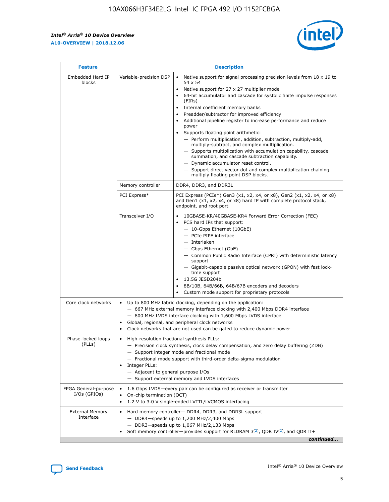r



| <b>Feature</b>                         |                                                                                                                | <b>Description</b>                                                                                                                                                                                                                                                                                                                                                                                                                                                                                                                                                                                                                                                                                                                                                                                                                     |  |  |  |  |  |  |
|----------------------------------------|----------------------------------------------------------------------------------------------------------------|----------------------------------------------------------------------------------------------------------------------------------------------------------------------------------------------------------------------------------------------------------------------------------------------------------------------------------------------------------------------------------------------------------------------------------------------------------------------------------------------------------------------------------------------------------------------------------------------------------------------------------------------------------------------------------------------------------------------------------------------------------------------------------------------------------------------------------------|--|--|--|--|--|--|
| Embedded Hard IP<br>blocks             | Variable-precision DSP                                                                                         | Native support for signal processing precision levels from $18 \times 19$ to<br>54 x 54<br>Native support for 27 x 27 multiplier mode<br>64-bit accumulator and cascade for systolic finite impulse responses<br>(FIRs)<br>Internal coefficient memory banks<br>$\bullet$<br>Preadder/subtractor for improved efficiency<br>Additional pipeline register to increase performance and reduce<br>power<br>Supports floating point arithmetic:<br>- Perform multiplication, addition, subtraction, multiply-add,<br>multiply-subtract, and complex multiplication.<br>- Supports multiplication with accumulation capability, cascade<br>summation, and cascade subtraction capability.<br>- Dynamic accumulator reset control.<br>- Support direct vector dot and complex multiplication chaining<br>multiply floating point DSP blocks. |  |  |  |  |  |  |
|                                        | Memory controller                                                                                              | DDR4, DDR3, and DDR3L                                                                                                                                                                                                                                                                                                                                                                                                                                                                                                                                                                                                                                                                                                                                                                                                                  |  |  |  |  |  |  |
|                                        | PCI Express*                                                                                                   | PCI Express (PCIe*) Gen3 (x1, x2, x4, or x8), Gen2 (x1, x2, x4, or x8)<br>and Gen1 (x1, x2, x4, or x8) hard IP with complete protocol stack,<br>endpoint, and root port                                                                                                                                                                                                                                                                                                                                                                                                                                                                                                                                                                                                                                                                |  |  |  |  |  |  |
|                                        | Transceiver I/O                                                                                                | 10GBASE-KR/40GBASE-KR4 Forward Error Correction (FEC)<br>PCS hard IPs that support:<br>$\bullet$<br>- 10-Gbps Ethernet (10GbE)<br>- PCIe PIPE interface<br>$-$ Interlaken<br>- Gbps Ethernet (GbE)<br>- Common Public Radio Interface (CPRI) with deterministic latency<br>support<br>- Gigabit-capable passive optical network (GPON) with fast lock-<br>time support<br>13.5G JESD204b<br>$\bullet$<br>8B/10B, 64B/66B, 64B/67B encoders and decoders<br>Custom mode support for proprietary protocols                                                                                                                                                                                                                                                                                                                               |  |  |  |  |  |  |
| Core clock networks                    | $\bullet$<br>$\bullet$                                                                                         | Up to 800 MHz fabric clocking, depending on the application:<br>- 667 MHz external memory interface clocking with 2,400 Mbps DDR4 interface<br>- 800 MHz LVDS interface clocking with 1,600 Mbps LVDS interface<br>Global, regional, and peripheral clock networks<br>Clock networks that are not used can be gated to reduce dynamic power                                                                                                                                                                                                                                                                                                                                                                                                                                                                                            |  |  |  |  |  |  |
| Phase-locked loops<br>(PLLs)           | High-resolution fractional synthesis PLLs:<br>$\bullet$<br>Integer PLLs:<br>- Adjacent to general purpose I/Os | - Precision clock synthesis, clock delay compensation, and zero delay buffering (ZDB)<br>- Support integer mode and fractional mode<br>- Fractional mode support with third-order delta-sigma modulation<br>- Support external memory and LVDS interfaces                                                                                                                                                                                                                                                                                                                                                                                                                                                                                                                                                                              |  |  |  |  |  |  |
| FPGA General-purpose<br>$I/Os$ (GPIOs) | On-chip termination (OCT)                                                                                      | 1.6 Gbps LVDS-every pair can be configured as receiver or transmitter<br>1.2 V to 3.0 V single-ended LVTTL/LVCMOS interfacing                                                                                                                                                                                                                                                                                                                                                                                                                                                                                                                                                                                                                                                                                                          |  |  |  |  |  |  |
| <b>External Memory</b><br>Interface    |                                                                                                                | Hard memory controller- DDR4, DDR3, and DDR3L support<br>$-$ DDR4 $-$ speeds up to 1,200 MHz/2,400 Mbps<br>- DDR3-speeds up to 1,067 MHz/2,133 Mbps<br>Soft memory controller—provides support for RLDRAM $3^{(2)}$ , QDR IV $^{(2)}$ , and QDR II+<br>continued                                                                                                                                                                                                                                                                                                                                                                                                                                                                                                                                                                       |  |  |  |  |  |  |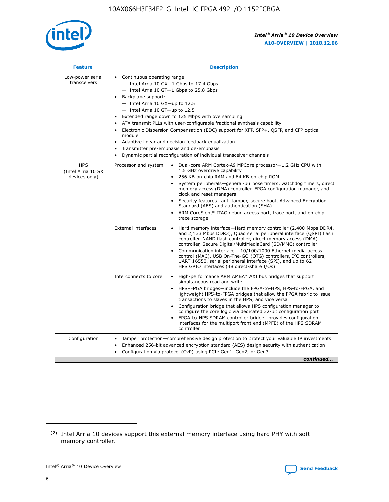

| <b>Feature</b>                                    | <b>Description</b>                                                                                                                                                                                                                                                                                                                                                                                                                                                                                                                                                                                                                         |
|---------------------------------------------------|--------------------------------------------------------------------------------------------------------------------------------------------------------------------------------------------------------------------------------------------------------------------------------------------------------------------------------------------------------------------------------------------------------------------------------------------------------------------------------------------------------------------------------------------------------------------------------------------------------------------------------------------|
| Low-power serial<br>transceivers                  | • Continuous operating range:<br>- Intel Arria 10 GX-1 Gbps to 17.4 Gbps<br>- Intel Arria 10 GT-1 Gbps to 25.8 Gbps<br>Backplane support:<br>$-$ Intel Arria 10 GX-up to 12.5<br>- Intel Arria 10 GT-up to 12.5<br>Extended range down to 125 Mbps with oversampling<br>ATX transmit PLLs with user-configurable fractional synthesis capability<br>Electronic Dispersion Compensation (EDC) support for XFP, SFP+, QSFP, and CFP optical<br>module<br>• Adaptive linear and decision feedback equalization<br>Transmitter pre-emphasis and de-emphasis<br>$\bullet$<br>Dynamic partial reconfiguration of individual transceiver channels |
| <b>HPS</b><br>(Intel Arria 10 SX<br>devices only) | Dual-core ARM Cortex-A9 MPCore processor-1.2 GHz CPU with<br>Processor and system<br>$\bullet$<br>1.5 GHz overdrive capability<br>256 KB on-chip RAM and 64 KB on-chip ROM<br>System peripherals-general-purpose timers, watchdog timers, direct<br>memory access (DMA) controller, FPGA configuration manager, and<br>clock and reset managers<br>Security features-anti-tamper, secure boot, Advanced Encryption<br>$\bullet$<br>Standard (AES) and authentication (SHA)<br>ARM CoreSight* JTAG debug access port, trace port, and on-chip<br>trace storage                                                                              |
|                                                   | <b>External interfaces</b><br>Hard memory interface-Hard memory controller (2,400 Mbps DDR4,<br>$\bullet$<br>and 2,133 Mbps DDR3), Quad serial peripheral interface (QSPI) flash<br>controller, NAND flash controller, direct memory access (DMA)<br>controller, Secure Digital/MultiMediaCard (SD/MMC) controller<br>Communication interface-10/100/1000 Ethernet media access<br>$\bullet$<br>control (MAC), USB On-The-GO (OTG) controllers, I <sup>2</sup> C controllers,<br>UART 16550, serial peripheral interface (SPI), and up to 62<br>HPS GPIO interfaces (48 direct-share I/Os)                                                 |
|                                                   | High-performance ARM AMBA* AXI bus bridges that support<br>Interconnects to core<br>$\bullet$<br>simultaneous read and write<br>HPS-FPGA bridges-include the FPGA-to-HPS, HPS-to-FPGA, and<br>$\bullet$<br>lightweight HPS-to-FPGA bridges that allow the FPGA fabric to issue<br>transactions to slaves in the HPS, and vice versa<br>Configuration bridge that allows HPS configuration manager to<br>configure the core logic via dedicated 32-bit configuration port<br>FPGA-to-HPS SDRAM controller bridge-provides configuration<br>interfaces for the multiport front end (MPFE) of the HPS SDRAM<br>controller                     |
| Configuration                                     | Tamper protection—comprehensive design protection to protect your valuable IP investments<br>Enhanced 256-bit advanced encryption standard (AES) design security with authentication<br>٠<br>Configuration via protocol (CvP) using PCIe Gen1, Gen2, or Gen3<br>continued                                                                                                                                                                                                                                                                                                                                                                  |

<sup>(2)</sup> Intel Arria 10 devices support this external memory interface using hard PHY with soft memory controller.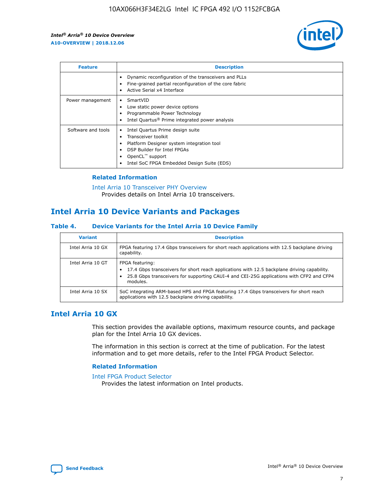

| <b>Feature</b>     | <b>Description</b>                                                                                                                                                                                                            |
|--------------------|-------------------------------------------------------------------------------------------------------------------------------------------------------------------------------------------------------------------------------|
|                    | Dynamic reconfiguration of the transceivers and PLLs<br>Fine-grained partial reconfiguration of the core fabric<br>Active Serial x4 Interface<br>$\bullet$                                                                    |
| Power management   | SmartVID<br>Low static power device options<br>Programmable Power Technology<br>Intel Quartus <sup>®</sup> Prime integrated power analysis                                                                                    |
| Software and tools | Intel Quartus Prime design suite<br>Transceiver toolkit<br>$\bullet$<br>Platform Designer system integration tool<br>DSP Builder for Intel FPGAs<br>OpenCL <sup>™</sup> support<br>Intel SoC FPGA Embedded Design Suite (EDS) |

## **Related Information**

#### [Intel Arria 10 Transceiver PHY Overview](https://www.intel.com/content/www/us/en/programmable/documentation/nik1398707230472.html#nik1398706768037) Provides details on Intel Arria 10 transceivers.

# **Intel Arria 10 Device Variants and Packages**

## **Table 4. Device Variants for the Intel Arria 10 Device Family**

| <b>Variant</b>    | <b>Description</b>                                                                                                                                                                                                     |
|-------------------|------------------------------------------------------------------------------------------------------------------------------------------------------------------------------------------------------------------------|
| Intel Arria 10 GX | FPGA featuring 17.4 Gbps transceivers for short reach applications with 12.5 backplane driving<br>capability.                                                                                                          |
| Intel Arria 10 GT | FPGA featuring:<br>17.4 Gbps transceivers for short reach applications with 12.5 backplane driving capability.<br>25.8 Gbps transceivers for supporting CAUI-4 and CEI-25G applications with CFP2 and CFP4<br>modules. |
| Intel Arria 10 SX | SoC integrating ARM-based HPS and FPGA featuring 17.4 Gbps transceivers for short reach<br>applications with 12.5 backplane driving capability.                                                                        |

## **Intel Arria 10 GX**

This section provides the available options, maximum resource counts, and package plan for the Intel Arria 10 GX devices.

The information in this section is correct at the time of publication. For the latest information and to get more details, refer to the Intel FPGA Product Selector.

## **Related Information**

#### [Intel FPGA Product Selector](http://www.altera.com/products/selector/psg-selector.html) Provides the latest information on Intel products.

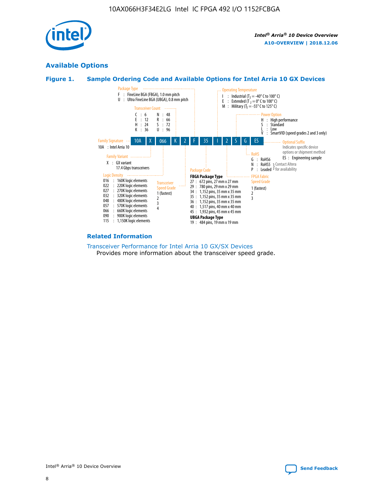

## **Available Options**





#### **Related Information**

[Transceiver Performance for Intel Arria 10 GX/SX Devices](https://www.intel.com/content/www/us/en/programmable/documentation/mcn1413182292568.html#mcn1413213965502) Provides more information about the transceiver speed grade.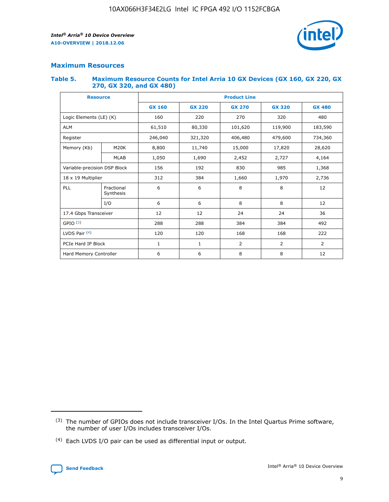

## **Maximum Resources**

#### **Table 5. Maximum Resource Counts for Intel Arria 10 GX Devices (GX 160, GX 220, GX 270, GX 320, and GX 480)**

| <b>Resource</b>         |                                                   | <b>Product Line</b> |                  |                |                |                |  |  |  |
|-------------------------|---------------------------------------------------|---------------------|------------------|----------------|----------------|----------------|--|--|--|
|                         |                                                   | <b>GX 160</b>       | <b>GX 220</b>    | <b>GX 270</b>  | <b>GX 320</b>  | <b>GX 480</b>  |  |  |  |
| Logic Elements (LE) (K) |                                                   | 160                 | 220              | 320<br>270     |                | 480            |  |  |  |
| <b>ALM</b>              |                                                   | 61,510              | 80,330           | 101,620        | 119,900        | 183,590        |  |  |  |
| Register                |                                                   | 246,040             | 321,320          | 406,480        |                | 734,360        |  |  |  |
| Memory (Kb)             | M <sub>20</sub> K                                 | 8,800               | 11,740<br>15,000 |                | 17,820         | 28,620         |  |  |  |
| <b>MLAB</b>             |                                                   | 1,050               | 1,690            | 2,452          | 2,727          | 4,164          |  |  |  |
|                         | 192<br>830<br>Variable-precision DSP Block<br>156 |                     |                  |                | 985            | 1,368          |  |  |  |
| 18 x 19 Multiplier      |                                                   | 312                 | 384              | 1,970<br>1,660 |                | 2,736          |  |  |  |
| PLL                     | Fractional<br>Synthesis                           | 6                   | 6                | 8              | 8              | 12             |  |  |  |
|                         | I/O                                               | 6                   | 6                | 8              | 8              | 12             |  |  |  |
| 17.4 Gbps Transceiver   |                                                   | 12                  | 12               | 24             | 24             | 36             |  |  |  |
| GPIO <sup>(3)</sup>     |                                                   | 288                 | 288<br>384       |                | 384            | 492            |  |  |  |
| LVDS Pair $(4)$         |                                                   | 120                 | 120              | 168            | 168            | 222            |  |  |  |
| PCIe Hard IP Block      |                                                   | $\mathbf{1}$        | 1                | $\overline{2}$ | $\overline{2}$ | $\overline{2}$ |  |  |  |
| Hard Memory Controller  |                                                   | 6                   | 6                | 8              | 8              | 12             |  |  |  |

<sup>(4)</sup> Each LVDS I/O pair can be used as differential input or output.



<sup>(3)</sup> The number of GPIOs does not include transceiver I/Os. In the Intel Quartus Prime software, the number of user I/Os includes transceiver I/Os.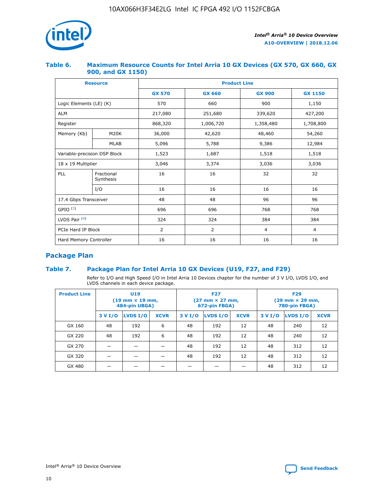

## **Table 6. Maximum Resource Counts for Intel Arria 10 GX Devices (GX 570, GX 660, GX 900, and GX 1150)**

|                              | <b>Resource</b>         | <b>Product Line</b> |                |                |                |  |  |  |
|------------------------------|-------------------------|---------------------|----------------|----------------|----------------|--|--|--|
|                              |                         | <b>GX 570</b>       | <b>GX 660</b>  | <b>GX 900</b>  | <b>GX 1150</b> |  |  |  |
| Logic Elements (LE) (K)      |                         | 570                 | 660            | 900            | 1,150          |  |  |  |
| <b>ALM</b>                   |                         | 217,080             | 251,680        | 339,620        | 427,200        |  |  |  |
| Register                     |                         | 868,320             | 1,006,720      | 1,358,480      | 1,708,800      |  |  |  |
| Memory (Kb)                  | <b>M20K</b>             | 36,000              | 42,620         | 48,460         | 54,260         |  |  |  |
| <b>MLAB</b>                  |                         | 5,096               | 5,788          | 9,386          | 12,984         |  |  |  |
| Variable-precision DSP Block |                         | 1,523               | 1,687          | 1,518          | 1,518          |  |  |  |
| $18 \times 19$ Multiplier    |                         | 3,046               | 3,374          | 3,036          | 3,036          |  |  |  |
| PLL                          | Fractional<br>Synthesis | 16                  | 16             | 32             | 32             |  |  |  |
|                              | I/O                     | 16                  | 16             | 16             | 16             |  |  |  |
| 17.4 Gbps Transceiver        |                         | 48                  | 48             | 96             | 96             |  |  |  |
| GPIO <sup>(3)</sup>          |                         | 696                 | 696            | 768            | 768            |  |  |  |
| LVDS Pair $(4)$              |                         | 324                 | 324            | 384            | 384            |  |  |  |
| PCIe Hard IP Block           |                         | 2                   | $\overline{2}$ | $\overline{4}$ | 4              |  |  |  |
| Hard Memory Controller       |                         | 16                  | 16             | 16             | 16             |  |  |  |

## **Package Plan**

## **Table 7. Package Plan for Intel Arria 10 GX Devices (U19, F27, and F29)**

Refer to I/O and High Speed I/O in Intel Arria 10 Devices chapter for the number of 3 V I/O, LVDS I/O, and LVDS channels in each device package.

| <b>Product Line</b> |         | U <sub>19</sub><br>$(19 \text{ mm} \times 19 \text{ mm})$<br>484-pin UBGA) |             | <b>F27</b><br>(27 mm × 27 mm,<br>672-pin FBGA) |                 |             | <b>F29</b><br>(29 mm × 29 mm,<br>780-pin FBGA) |          |             |  |
|---------------------|---------|----------------------------------------------------------------------------|-------------|------------------------------------------------|-----------------|-------------|------------------------------------------------|----------|-------------|--|
|                     | 3 V I/O | LVDS I/O                                                                   | <b>XCVR</b> | 3 V I/O                                        | <b>LVDS I/O</b> | <b>XCVR</b> | 3 V I/O                                        | LVDS I/O | <b>XCVR</b> |  |
| GX 160              | 48      | 192                                                                        | 6           | 48                                             | 192             | 12          | 48                                             | 240      | 12          |  |
| GX 220              | 48      | 192                                                                        | 6           | 48                                             | 192             | 12          | 48                                             | 240      | 12          |  |
| GX 270              |         |                                                                            |             | 48                                             | 192             | 12          | 48                                             | 312      | 12          |  |
| GX 320              |         |                                                                            |             | 48                                             | 192             | 12          | 48                                             | 312      | 12          |  |
| GX 480              |         |                                                                            |             |                                                |                 |             | 48                                             | 312      | 12          |  |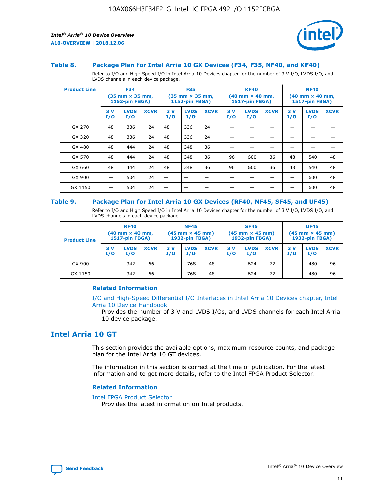

#### **Table 8. Package Plan for Intel Arria 10 GX Devices (F34, F35, NF40, and KF40)**

Refer to I/O and High Speed I/O in Intel Arria 10 Devices chapter for the number of 3 V I/O, LVDS I/O, and LVDS channels in each device package.

| <b>Product Line</b> |           | <b>F34</b><br>$(35 \text{ mm} \times 35 \text{ mm})$<br>1152-pin FBGA) |             |           | <b>F35</b><br>$(35 \text{ mm} \times 35 \text{ mm})$<br><b>1152-pin FBGA)</b> |             | <b>KF40</b><br>$(40$ mm $\times$ 40 mm,<br>1517-pin FBGA) |                    | <b>NF40</b><br>$(40$ mm $\times$ 40 mm,<br><b>1517-pin FBGA)</b> |            |                    |             |
|---------------------|-----------|------------------------------------------------------------------------|-------------|-----------|-------------------------------------------------------------------------------|-------------|-----------------------------------------------------------|--------------------|------------------------------------------------------------------|------------|--------------------|-------------|
|                     | 3V<br>I/O | <b>LVDS</b><br>I/O                                                     | <b>XCVR</b> | 3V<br>I/O | <b>LVDS</b><br>I/O                                                            | <b>XCVR</b> | 3V<br>I/O                                                 | <b>LVDS</b><br>I/O | <b>XCVR</b>                                                      | 3 V<br>I/O | <b>LVDS</b><br>I/O | <b>XCVR</b> |
| GX 270              | 48        | 336                                                                    | 24          | 48        | 336                                                                           | 24          |                                                           |                    |                                                                  |            |                    |             |
| GX 320              | 48        | 336                                                                    | 24          | 48        | 336                                                                           | 24          |                                                           |                    |                                                                  |            |                    |             |
| GX 480              | 48        | 444                                                                    | 24          | 48        | 348                                                                           | 36          |                                                           |                    |                                                                  |            |                    |             |
| GX 570              | 48        | 444                                                                    | 24          | 48        | 348                                                                           | 36          | 96                                                        | 600                | 36                                                               | 48         | 540                | 48          |
| GX 660              | 48        | 444                                                                    | 24          | 48        | 348                                                                           | 36          | 96                                                        | 600                | 36                                                               | 48         | 540                | 48          |
| GX 900              |           | 504                                                                    | 24          | -         |                                                                               |             |                                                           |                    |                                                                  |            | 600                | 48          |
| GX 1150             |           | 504                                                                    | 24          |           |                                                                               |             |                                                           |                    |                                                                  |            | 600                | 48          |

#### **Table 9. Package Plan for Intel Arria 10 GX Devices (RF40, NF45, SF45, and UF45)**

Refer to I/O and High Speed I/O in Intel Arria 10 Devices chapter for the number of 3 V I/O, LVDS I/O, and LVDS channels in each device package.

| <b>Product Line</b> | <b>RF40</b><br>$(40$ mm $\times$ 40 mm,<br>1517-pin FBGA) |                    |             | <b>NF45</b><br>$(45 \text{ mm} \times 45 \text{ mm})$<br><b>1932-pin FBGA)</b> |                    |             | <b>SF45</b><br>$(45 \text{ mm} \times 45 \text{ mm})$<br><b>1932-pin FBGA)</b> |                    |             | <b>UF45</b><br>$(45 \text{ mm} \times 45 \text{ mm})$<br><b>1932-pin FBGA)</b> |                    |             |
|---------------------|-----------------------------------------------------------|--------------------|-------------|--------------------------------------------------------------------------------|--------------------|-------------|--------------------------------------------------------------------------------|--------------------|-------------|--------------------------------------------------------------------------------|--------------------|-------------|
|                     | 3V<br>I/O                                                 | <b>LVDS</b><br>I/O | <b>XCVR</b> | 3 V<br>I/O                                                                     | <b>LVDS</b><br>I/O | <b>XCVR</b> | 3 V<br>I/O                                                                     | <b>LVDS</b><br>I/O | <b>XCVR</b> | 3V<br>I/O                                                                      | <b>LVDS</b><br>I/O | <b>XCVR</b> |
| GX 900              |                                                           | 342                | 66          | _                                                                              | 768                | 48          |                                                                                | 624                | 72          |                                                                                | 480                | 96          |
| GX 1150             |                                                           | 342                | 66          | _                                                                              | 768                | 48          |                                                                                | 624                | 72          |                                                                                | 480                | 96          |

## **Related Information**

[I/O and High-Speed Differential I/O Interfaces in Intel Arria 10 Devices chapter, Intel](https://www.intel.com/content/www/us/en/programmable/documentation/sam1403482614086.html#sam1403482030321) [Arria 10 Device Handbook](https://www.intel.com/content/www/us/en/programmable/documentation/sam1403482614086.html#sam1403482030321)

Provides the number of 3 V and LVDS I/Os, and LVDS channels for each Intel Arria 10 device package.

## **Intel Arria 10 GT**

This section provides the available options, maximum resource counts, and package plan for the Intel Arria 10 GT devices.

The information in this section is correct at the time of publication. For the latest information and to get more details, refer to the Intel FPGA Product Selector.

#### **Related Information**

#### [Intel FPGA Product Selector](http://www.altera.com/products/selector/psg-selector.html)

Provides the latest information on Intel products.

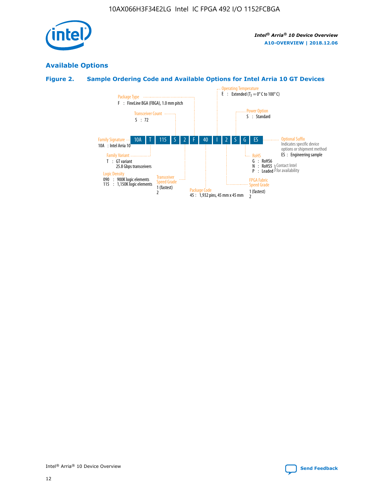

## **Available Options**

## **Figure 2. Sample Ordering Code and Available Options for Intel Arria 10 GT Devices**

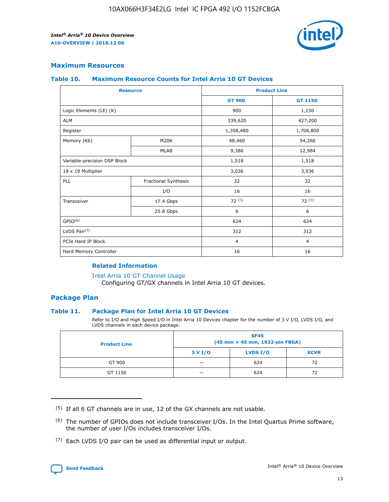

## **Maximum Resources**

#### **Table 10. Maximum Resource Counts for Intel Arria 10 GT Devices**

| <b>Resource</b>              |                      |                | <b>Product Line</b> |  |
|------------------------------|----------------------|----------------|---------------------|--|
|                              |                      | <b>GT 900</b>  | GT 1150             |  |
| Logic Elements (LE) (K)      |                      | 900            | 1,150               |  |
| <b>ALM</b>                   |                      | 339,620        | 427,200             |  |
| Register                     |                      | 1,358,480      | 1,708,800           |  |
| Memory (Kb)                  | M <sub>20</sub> K    | 48,460         | 54,260              |  |
|                              | <b>MLAB</b>          | 9,386          | 12,984              |  |
| Variable-precision DSP Block |                      | 1,518          | 1,518               |  |
| 18 x 19 Multiplier           |                      | 3,036          | 3,036               |  |
| PLL                          | Fractional Synthesis | 32             | 32                  |  |
|                              | I/O                  | 16             | 16                  |  |
| Transceiver                  | 17.4 Gbps            | 72(5)          | 72(5)               |  |
|                              | 25.8 Gbps            | 6              | 6                   |  |
| GPIO <sup>(6)</sup>          |                      | 624            | 624                 |  |
| LVDS Pair $(7)$              |                      | 312            | 312                 |  |
| PCIe Hard IP Block           |                      | $\overline{4}$ | $\overline{4}$      |  |
| Hard Memory Controller       |                      | 16             | 16                  |  |

## **Related Information**

#### [Intel Arria 10 GT Channel Usage](https://www.intel.com/content/www/us/en/programmable/documentation/nik1398707230472.html#nik1398707008178)

Configuring GT/GX channels in Intel Arria 10 GT devices.

## **Package Plan**

## **Table 11. Package Plan for Intel Arria 10 GT Devices**

Refer to I/O and High Speed I/O in Intel Arria 10 Devices chapter for the number of 3 V I/O, LVDS I/O, and LVDS channels in each device package.

| <b>Product Line</b> | <b>SF45</b><br>(45 mm × 45 mm, 1932-pin FBGA) |                 |             |  |  |  |
|---------------------|-----------------------------------------------|-----------------|-------------|--|--|--|
|                     | 3 V I/O                                       | <b>LVDS I/O</b> | <b>XCVR</b> |  |  |  |
| GT 900              |                                               | 624             | 72          |  |  |  |
| GT 1150             |                                               | 624             |             |  |  |  |

<sup>(7)</sup> Each LVDS I/O pair can be used as differential input or output.



 $(5)$  If all 6 GT channels are in use, 12 of the GX channels are not usable.

<sup>(6)</sup> The number of GPIOs does not include transceiver I/Os. In the Intel Quartus Prime software, the number of user I/Os includes transceiver I/Os.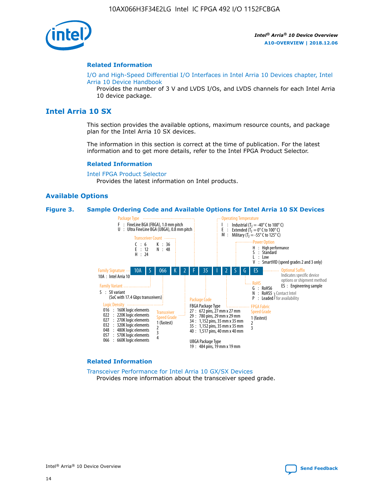

#### **Related Information**

[I/O and High-Speed Differential I/O Interfaces in Intel Arria 10 Devices chapter, Intel](https://www.intel.com/content/www/us/en/programmable/documentation/sam1403482614086.html#sam1403482030321) [Arria 10 Device Handbook](https://www.intel.com/content/www/us/en/programmable/documentation/sam1403482614086.html#sam1403482030321)

Provides the number of 3 V and LVDS I/Os, and LVDS channels for each Intel Arria 10 device package.

## **Intel Arria 10 SX**

This section provides the available options, maximum resource counts, and package plan for the Intel Arria 10 SX devices.

The information in this section is correct at the time of publication. For the latest information and to get more details, refer to the Intel FPGA Product Selector.

#### **Related Information**

[Intel FPGA Product Selector](http://www.altera.com/products/selector/psg-selector.html) Provides the latest information on Intel products.

## **Available Options**

#### **Figure 3. Sample Ordering Code and Available Options for Intel Arria 10 SX Devices**



#### **Related Information**

[Transceiver Performance for Intel Arria 10 GX/SX Devices](https://www.intel.com/content/www/us/en/programmable/documentation/mcn1413182292568.html#mcn1413213965502) Provides more information about the transceiver speed grade.

Intel® Arria® 10 Device Overview **[Send Feedback](mailto:FPGAtechdocfeedback@intel.com?subject=Feedback%20on%20Intel%20Arria%2010%20Device%20Overview%20(A10-OVERVIEW%202018.12.06)&body=We%20appreciate%20your%20feedback.%20In%20your%20comments,%20also%20specify%20the%20page%20number%20or%20paragraph.%20Thank%20you.)**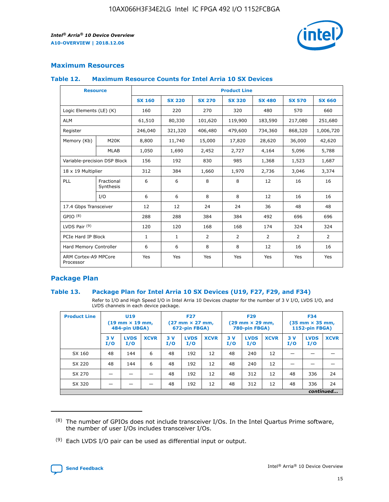

## **Maximum Resources**

#### **Table 12. Maximum Resource Counts for Intel Arria 10 SX Devices**

| <b>Resource</b>                   |                         | <b>Product Line</b> |               |                |                |                |                |                |  |  |  |
|-----------------------------------|-------------------------|---------------------|---------------|----------------|----------------|----------------|----------------|----------------|--|--|--|
|                                   |                         | <b>SX 160</b>       | <b>SX 220</b> | <b>SX 270</b>  | <b>SX 320</b>  | <b>SX 480</b>  | <b>SX 570</b>  | <b>SX 660</b>  |  |  |  |
| Logic Elements (LE) (K)           |                         | 160                 | 220           | 270            | 320            | 480            | 570            | 660            |  |  |  |
| <b>ALM</b>                        |                         | 61,510              | 80,330        | 101,620        | 119,900        | 183,590        | 217,080        | 251,680        |  |  |  |
| Register                          |                         | 246,040             | 321,320       | 406,480        | 479,600        | 734,360        | 868,320        | 1,006,720      |  |  |  |
| Memory (Kb)                       | M <sub>20</sub> K       | 8,800               | 11,740        | 15,000         | 17,820         | 28,620         | 36,000         | 42,620         |  |  |  |
|                                   | <b>MLAB</b>             | 1,050               | 1,690         | 2,452          | 2,727          | 4,164          | 5,096          | 5,788          |  |  |  |
| Variable-precision DSP Block      |                         | 156                 | 192           | 830            | 985            | 1,368          | 1,523          | 1,687          |  |  |  |
| 18 x 19 Multiplier                |                         | 312                 | 384           | 1,660          | 1,970          | 2,736          | 3,046          | 3,374          |  |  |  |
| PLL                               | Fractional<br>Synthesis | 6                   | 6             | 8              | 8              | 12             | 16             | 16             |  |  |  |
|                                   | I/O                     | 6                   | 6             | 8              | 8              | 12             | 16             | 16             |  |  |  |
| 17.4 Gbps Transceiver             |                         | 12                  | 12            | 24             | 24             | 36             | 48             | 48             |  |  |  |
| GPIO <sup>(8)</sup>               |                         | 288                 | 288           | 384            | 384            | 492            | 696            | 696            |  |  |  |
| LVDS Pair $(9)$                   |                         | 120                 | 120           | 168            | 168            | 174            | 324            | 324            |  |  |  |
| PCIe Hard IP Block                |                         | $\mathbf{1}$        | $\mathbf{1}$  | $\overline{2}$ | $\overline{2}$ | $\overline{2}$ | $\overline{2}$ | $\overline{2}$ |  |  |  |
| Hard Memory Controller            |                         | 6                   | 6             | 8              | 8              | 12             | 16             | 16             |  |  |  |
| ARM Cortex-A9 MPCore<br>Processor |                         | Yes                 | Yes           | Yes            | Yes            | Yes            | Yes            | <b>Yes</b>     |  |  |  |

## **Package Plan**

## **Table 13. Package Plan for Intel Arria 10 SX Devices (U19, F27, F29, and F34)**

Refer to I/O and High Speed I/O in Intel Arria 10 Devices chapter for the number of 3 V I/O, LVDS I/O, and LVDS channels in each device package.

| <b>Product Line</b> | U19<br>$(19 \text{ mm} \times 19 \text{ mm})$<br>484-pin UBGA) |                    |             | <b>F27</b><br>$(27 \text{ mm} \times 27 \text{ mm})$ .<br>672-pin FBGA) |                    | <b>F29</b><br>$(29 \text{ mm} \times 29 \text{ mm})$ .<br>780-pin FBGA) |            |                    | <b>F34</b><br>$(35 \text{ mm} \times 35 \text{ mm})$<br><b>1152-pin FBGA)</b> |           |                    |             |
|---------------------|----------------------------------------------------------------|--------------------|-------------|-------------------------------------------------------------------------|--------------------|-------------------------------------------------------------------------|------------|--------------------|-------------------------------------------------------------------------------|-----------|--------------------|-------------|
|                     | 3V<br>I/O                                                      | <b>LVDS</b><br>I/O | <b>XCVR</b> | 3V<br>I/O                                                               | <b>LVDS</b><br>I/O | <b>XCVR</b>                                                             | 3 V<br>I/O | <b>LVDS</b><br>I/O | <b>XCVR</b>                                                                   | 3V<br>I/O | <b>LVDS</b><br>I/O | <b>XCVR</b> |
| SX 160              | 48                                                             | 144                | 6           | 48                                                                      | 192                | 12                                                                      | 48         | 240                | 12                                                                            |           |                    |             |
| SX 220              | 48                                                             | 144                | 6           | 48                                                                      | 192                | 12                                                                      | 48         | 240                | 12                                                                            |           |                    |             |
| SX 270              |                                                                |                    |             | 48                                                                      | 192                | 12                                                                      | 48         | 312                | 12                                                                            | 48        | 336                | 24          |
| SX 320              |                                                                |                    |             | 48                                                                      | 192                | 12                                                                      | 48         | 312                | 12                                                                            | 48        | 336                | 24          |
|                     | continued                                                      |                    |             |                                                                         |                    |                                                                         |            |                    |                                                                               |           |                    |             |

 $(8)$  The number of GPIOs does not include transceiver I/Os. In the Intel Quartus Prime software, the number of user I/Os includes transceiver I/Os.

 $(9)$  Each LVDS I/O pair can be used as differential input or output.

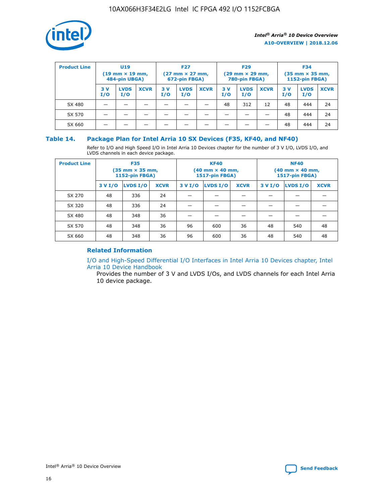

| <b>Product Line</b> | <b>U19</b><br>$(19 \text{ mm} \times 19 \text{ mm})$<br>484-pin UBGA) |                    | <b>F27</b><br>$(27 \text{ mm} \times 27 \text{ mm})$<br>672-pin FBGA) |           |                    | <b>F29</b><br>$(29$ mm $\times$ 29 mm,<br>780-pin FBGA) |           |                    | <b>F34</b><br>$(35$ mm $\times$ 35 mm,<br><b>1152-pin FBGA)</b> |           |                    |             |
|---------------------|-----------------------------------------------------------------------|--------------------|-----------------------------------------------------------------------|-----------|--------------------|---------------------------------------------------------|-----------|--------------------|-----------------------------------------------------------------|-----------|--------------------|-------------|
|                     | 3 V<br>I/O                                                            | <b>LVDS</b><br>I/O | <b>XCVR</b>                                                           | 3V<br>I/O | <b>LVDS</b><br>I/O | <b>XCVR</b>                                             | 3V<br>I/O | <b>LVDS</b><br>I/O | <b>XCVR</b>                                                     | 3V<br>I/O | <b>LVDS</b><br>I/O | <b>XCVR</b> |
| SX 480              |                                                                       |                    |                                                                       |           |                    |                                                         | 48        | 312                | 12                                                              | 48        | 444                | 24          |
| SX 570              |                                                                       |                    |                                                                       |           |                    |                                                         |           |                    |                                                                 | 48        | 444                | 24          |
| SX 660              |                                                                       |                    |                                                                       |           |                    |                                                         |           |                    |                                                                 | 48        | 444                | 24          |

## **Table 14. Package Plan for Intel Arria 10 SX Devices (F35, KF40, and NF40)**

Refer to I/O and High Speed I/O in Intel Arria 10 Devices chapter for the number of 3 V I/O, LVDS I/O, and LVDS channels in each device package.

| <b>Product Line</b> | <b>F35</b><br>(35 mm × 35 mm,<br><b>1152-pin FBGA)</b> |          |             |                                           | <b>KF40</b><br>(40 mm × 40 mm,<br>1517-pin FBGA) |    | <b>NF40</b><br>$(40 \text{ mm} \times 40 \text{ mm})$<br>1517-pin FBGA) |          |             |  |
|---------------------|--------------------------------------------------------|----------|-------------|-------------------------------------------|--------------------------------------------------|----|-------------------------------------------------------------------------|----------|-------------|--|
|                     | 3 V I/O                                                | LVDS I/O | <b>XCVR</b> | <b>LVDS I/O</b><br>3 V I/O<br><b>XCVR</b> |                                                  |    | 3 V I/O                                                                 | LVDS I/O | <b>XCVR</b> |  |
| SX 270              | 48                                                     | 336      | 24          |                                           |                                                  |    |                                                                         |          |             |  |
| SX 320              | 48                                                     | 336      | 24          |                                           |                                                  |    |                                                                         |          |             |  |
| SX 480              | 48                                                     | 348      | 36          |                                           |                                                  |    |                                                                         |          |             |  |
| SX 570              | 48                                                     | 348      | 36          | 96                                        | 600                                              | 36 | 48                                                                      | 540      | 48          |  |
| SX 660              | 48                                                     | 348      | 36          | 96                                        | 600                                              | 36 | 48                                                                      | 540      | 48          |  |

## **Related Information**

[I/O and High-Speed Differential I/O Interfaces in Intel Arria 10 Devices chapter, Intel](https://www.intel.com/content/www/us/en/programmable/documentation/sam1403482614086.html#sam1403482030321) [Arria 10 Device Handbook](https://www.intel.com/content/www/us/en/programmable/documentation/sam1403482614086.html#sam1403482030321)

Provides the number of 3 V and LVDS I/Os, and LVDS channels for each Intel Arria 10 device package.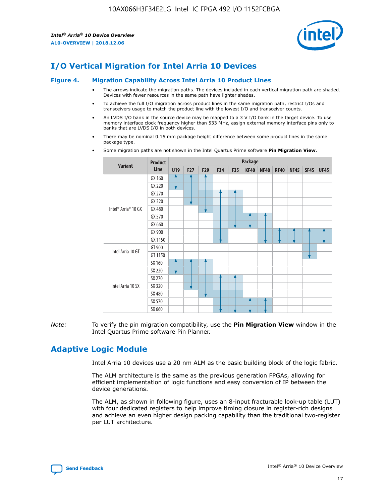

# **I/O Vertical Migration for Intel Arria 10 Devices**

#### **Figure 4. Migration Capability Across Intel Arria 10 Product Lines**

- The arrows indicate the migration paths. The devices included in each vertical migration path are shaded. Devices with fewer resources in the same path have lighter shades.
- To achieve the full I/O migration across product lines in the same migration path, restrict I/Os and transceivers usage to match the product line with the lowest I/O and transceiver counts.
- An LVDS I/O bank in the source device may be mapped to a 3 V I/O bank in the target device. To use memory interface clock frequency higher than 533 MHz, assign external memory interface pins only to banks that are LVDS I/O in both devices.
- There may be nominal 0.15 mm package height difference between some product lines in the same package type.
	- **Variant Product Line Package U19 F27 F29 F34 F35 KF40 NF40 RF40 NF45 SF45 UF45** Intel® Arria® 10 GX GX 160 GX 220 GX 270 GX 320 GX 480 GX 570 GX 660 GX 900 GX 1150 Intel Arria 10 GT GT 900 GT 1150 Intel Arria 10 SX SX 160 SX 220 SX 270 SX 320 SX 480 SX 570 SX 660
- Some migration paths are not shown in the Intel Quartus Prime software **Pin Migration View**.

*Note:* To verify the pin migration compatibility, use the **Pin Migration View** window in the Intel Quartus Prime software Pin Planner.

# **Adaptive Logic Module**

Intel Arria 10 devices use a 20 nm ALM as the basic building block of the logic fabric.

The ALM architecture is the same as the previous generation FPGAs, allowing for efficient implementation of logic functions and easy conversion of IP between the device generations.

The ALM, as shown in following figure, uses an 8-input fracturable look-up table (LUT) with four dedicated registers to help improve timing closure in register-rich designs and achieve an even higher design packing capability than the traditional two-register per LUT architecture.

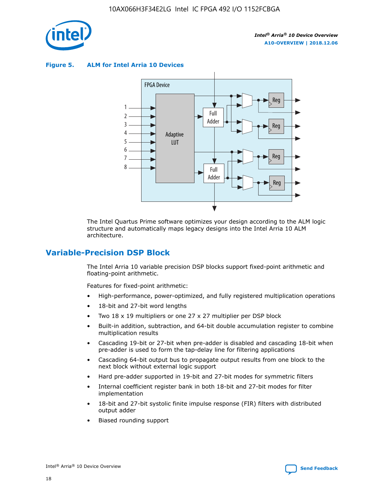

**Figure 5. ALM for Intel Arria 10 Devices**



The Intel Quartus Prime software optimizes your design according to the ALM logic structure and automatically maps legacy designs into the Intel Arria 10 ALM architecture.

# **Variable-Precision DSP Block**

The Intel Arria 10 variable precision DSP blocks support fixed-point arithmetic and floating-point arithmetic.

Features for fixed-point arithmetic:

- High-performance, power-optimized, and fully registered multiplication operations
- 18-bit and 27-bit word lengths
- Two 18 x 19 multipliers or one 27 x 27 multiplier per DSP block
- Built-in addition, subtraction, and 64-bit double accumulation register to combine multiplication results
- Cascading 19-bit or 27-bit when pre-adder is disabled and cascading 18-bit when pre-adder is used to form the tap-delay line for filtering applications
- Cascading 64-bit output bus to propagate output results from one block to the next block without external logic support
- Hard pre-adder supported in 19-bit and 27-bit modes for symmetric filters
- Internal coefficient register bank in both 18-bit and 27-bit modes for filter implementation
- 18-bit and 27-bit systolic finite impulse response (FIR) filters with distributed output adder
- Biased rounding support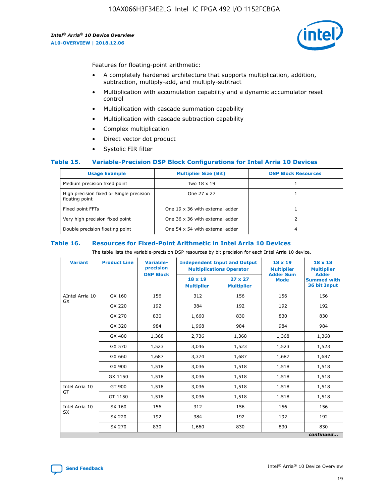

Features for floating-point arithmetic:

- A completely hardened architecture that supports multiplication, addition, subtraction, multiply-add, and multiply-subtract
- Multiplication with accumulation capability and a dynamic accumulator reset control
- Multiplication with cascade summation capability
- Multiplication with cascade subtraction capability
- Complex multiplication
- Direct vector dot product
- Systolic FIR filter

## **Table 15. Variable-Precision DSP Block Configurations for Intel Arria 10 Devices**

| <b>Usage Example</b>                                       | <b>Multiplier Size (Bit)</b>    | <b>DSP Block Resources</b> |
|------------------------------------------------------------|---------------------------------|----------------------------|
| Medium precision fixed point                               | Two 18 x 19                     |                            |
| High precision fixed or Single precision<br>floating point | One 27 x 27                     |                            |
| Fixed point FFTs                                           | One 19 x 36 with external adder |                            |
| Very high precision fixed point                            | One 36 x 36 with external adder |                            |
| Double precision floating point                            | One 54 x 54 with external adder | 4                          |

#### **Table 16. Resources for Fixed-Point Arithmetic in Intel Arria 10 Devices**

The table lists the variable-precision DSP resources by bit precision for each Intel Arria 10 device.

| <b>Variant</b>  | <b>Product Line</b> | <b>Variable-</b><br>precision<br><b>DSP Block</b> | <b>Independent Input and Output</b><br><b>Multiplications Operator</b> |                                     | 18 x 19<br><b>Multiplier</b><br><b>Adder Sum</b> | $18 \times 18$<br><b>Multiplier</b><br><b>Adder</b> |
|-----------------|---------------------|---------------------------------------------------|------------------------------------------------------------------------|-------------------------------------|--------------------------------------------------|-----------------------------------------------------|
|                 |                     |                                                   | 18 x 19<br><b>Multiplier</b>                                           | $27 \times 27$<br><b>Multiplier</b> | <b>Mode</b>                                      | <b>Summed with</b><br>36 bit Input                  |
| AIntel Arria 10 | GX 160              | 156                                               | 312                                                                    | 156                                 | 156                                              | 156                                                 |
| GX              | GX 220              | 192                                               | 384                                                                    | 192                                 | 192                                              | 192                                                 |
|                 | GX 270              | 830                                               | 1,660                                                                  | 830                                 | 830                                              | 830                                                 |
|                 | GX 320              | 984                                               | 1,968                                                                  | 984                                 | 984                                              | 984                                                 |
|                 | GX 480              | 1,368                                             | 2,736                                                                  | 1,368                               | 1,368                                            | 1,368                                               |
|                 | GX 570              | 1,523                                             | 3,046                                                                  | 1,523                               | 1,523                                            | 1,523                                               |
|                 | GX 660              | 1,687                                             | 3,374                                                                  | 1,687                               | 1,687                                            | 1,687                                               |
|                 | GX 900              | 1,518                                             | 3,036                                                                  | 1,518                               | 1,518                                            | 1,518                                               |
|                 | GX 1150             | 1,518                                             | 3,036                                                                  | 1,518                               | 1,518                                            | 1,518                                               |
| Intel Arria 10  | GT 900              | 1,518                                             | 3,036                                                                  | 1,518                               | 1,518                                            | 1,518                                               |
| GT              | GT 1150             | 1,518                                             | 3,036                                                                  | 1,518                               | 1,518                                            | 1,518                                               |
| Intel Arria 10  | SX 160              | 156                                               | 312                                                                    | 156                                 | 156                                              | 156                                                 |
| <b>SX</b>       | SX 220<br>192       |                                                   | 384                                                                    | 192                                 | 192                                              | 192                                                 |
|                 | SX 270              | 830                                               | 1,660                                                                  | 830                                 | 830                                              | 830                                                 |
|                 |                     |                                                   |                                                                        |                                     |                                                  | continued                                           |

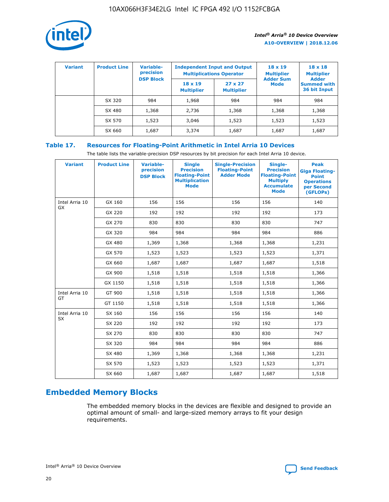

| <b>Variant</b> | <b>Product Line</b> | Variable-<br>precision | <b>Independent Input and Output</b><br><b>Multiplications Operator</b> |                                     | $18 \times 19$<br><b>Multiplier</b> | $18 \times 18$<br><b>Multiplier</b><br><b>Adder</b> |  |
|----------------|---------------------|------------------------|------------------------------------------------------------------------|-------------------------------------|-------------------------------------|-----------------------------------------------------|--|
|                |                     | <b>DSP Block</b>       | $18 \times 19$<br><b>Multiplier</b>                                    | $27 \times 27$<br><b>Multiplier</b> | <b>Adder Sum</b><br><b>Mode</b>     | <b>Summed with</b><br>36 bit Input                  |  |
|                | SX 320              | 984                    | 1,968                                                                  | 984                                 | 984                                 | 984                                                 |  |
|                | SX 480              | 1,368                  | 2,736                                                                  | 1,368                               | 1,368                               | 1,368                                               |  |
|                | SX 570              | 1,523                  | 3,046                                                                  | 1,523                               | 1,523                               | 1,523                                               |  |
|                | SX 660              | 1,687                  | 3,374                                                                  | 1,687                               | 1,687                               | 1,687                                               |  |

## **Table 17. Resources for Floating-Point Arithmetic in Intel Arria 10 Devices**

The table lists the variable-precision DSP resources by bit precision for each Intel Arria 10 device.

| <b>Variant</b> | <b>Product Line</b> | <b>Variable-</b><br>precision<br><b>DSP Block</b> | <b>Single</b><br><b>Precision</b><br><b>Floating-Point</b><br><b>Multiplication</b><br><b>Mode</b> | <b>Single-Precision</b><br><b>Floating-Point</b><br><b>Adder Mode</b> | Single-<br><b>Precision</b><br><b>Floating-Point</b><br><b>Multiply</b><br><b>Accumulate</b><br><b>Mode</b> | <b>Peak</b><br><b>Giga Floating-</b><br><b>Point</b><br><b>Operations</b><br>per Second<br>(GFLOPs) |
|----------------|---------------------|---------------------------------------------------|----------------------------------------------------------------------------------------------------|-----------------------------------------------------------------------|-------------------------------------------------------------------------------------------------------------|-----------------------------------------------------------------------------------------------------|
| Intel Arria 10 | GX 160              | 156                                               | 156                                                                                                | 156                                                                   | 156                                                                                                         | 140                                                                                                 |
| <b>GX</b>      | GX 220              | 192                                               | 192                                                                                                | 192                                                                   | 192                                                                                                         | 173                                                                                                 |
|                | GX 270              | 830                                               | 830                                                                                                | 830                                                                   | 830                                                                                                         | 747                                                                                                 |
|                | GX 320              | 984                                               | 984                                                                                                | 984                                                                   | 984                                                                                                         | 886                                                                                                 |
|                | GX 480              | 1,369                                             | 1,368                                                                                              | 1,368                                                                 | 1,368                                                                                                       | 1,231                                                                                               |
|                | GX 570              | 1,523                                             | 1,523                                                                                              | 1,523                                                                 | 1,523                                                                                                       | 1,371                                                                                               |
|                | GX 660              | 1,687                                             | 1,687                                                                                              | 1,687                                                                 | 1,687                                                                                                       | 1,518                                                                                               |
|                | GX 900              | 1,518                                             | 1,518                                                                                              | 1,518                                                                 | 1,518                                                                                                       | 1,366                                                                                               |
|                | GX 1150             | 1,518                                             | 1,518                                                                                              | 1,518                                                                 | 1,518                                                                                                       | 1,366                                                                                               |
| Intel Arria 10 | GT 900              | 1,518                                             | 1,518                                                                                              | 1,518                                                                 | 1,518                                                                                                       | 1,366                                                                                               |
| GT             | GT 1150             | 1,518                                             | 1,518                                                                                              | 1,518                                                                 | 1,518                                                                                                       | 1,366                                                                                               |
| Intel Arria 10 | SX 160              | 156                                               | 156                                                                                                | 156                                                                   | 156                                                                                                         | 140                                                                                                 |
| SX             | SX 220              | 192                                               | 192                                                                                                | 192                                                                   | 192                                                                                                         | 173                                                                                                 |
|                | SX 270              | 830                                               | 830                                                                                                | 830                                                                   | 830                                                                                                         | 747                                                                                                 |
|                | SX 320              | 984                                               | 984                                                                                                | 984                                                                   | 984                                                                                                         | 886                                                                                                 |
|                | SX 480              | 1,369                                             | 1,368                                                                                              | 1,368                                                                 | 1,368                                                                                                       | 1,231                                                                                               |
|                | SX 570              | 1,523                                             | 1,523                                                                                              | 1,523                                                                 | 1,523                                                                                                       | 1,371                                                                                               |
|                | SX 660              | 1,687                                             | 1,687                                                                                              | 1,687                                                                 | 1,687                                                                                                       | 1,518                                                                                               |

# **Embedded Memory Blocks**

The embedded memory blocks in the devices are flexible and designed to provide an optimal amount of small- and large-sized memory arrays to fit your design requirements.

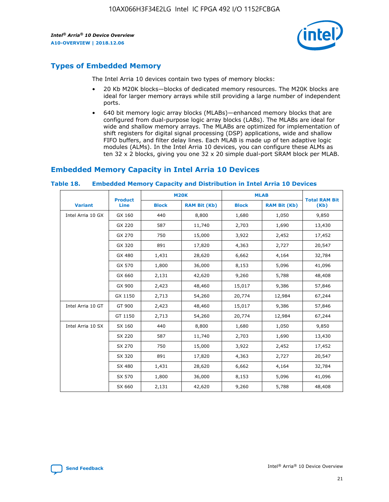

# **Types of Embedded Memory**

The Intel Arria 10 devices contain two types of memory blocks:

- 20 Kb M20K blocks—blocks of dedicated memory resources. The M20K blocks are ideal for larger memory arrays while still providing a large number of independent ports.
- 640 bit memory logic array blocks (MLABs)—enhanced memory blocks that are configured from dual-purpose logic array blocks (LABs). The MLABs are ideal for wide and shallow memory arrays. The MLABs are optimized for implementation of shift registers for digital signal processing (DSP) applications, wide and shallow FIFO buffers, and filter delay lines. Each MLAB is made up of ten adaptive logic modules (ALMs). In the Intel Arria 10 devices, you can configure these ALMs as ten 32 x 2 blocks, giving you one 32 x 20 simple dual-port SRAM block per MLAB.

# **Embedded Memory Capacity in Intel Arria 10 Devices**

|                   | <b>Product</b> | <b>M20K</b>  |                     | <b>MLAB</b>  |                     | <b>Total RAM Bit</b> |
|-------------------|----------------|--------------|---------------------|--------------|---------------------|----------------------|
| <b>Variant</b>    | <b>Line</b>    | <b>Block</b> | <b>RAM Bit (Kb)</b> | <b>Block</b> | <b>RAM Bit (Kb)</b> | (Kb)                 |
| Intel Arria 10 GX | GX 160         | 440          | 8,800               | 1,680        | 1,050               | 9,850                |
|                   | GX 220         | 587          | 11,740              | 2,703        | 1,690               | 13,430               |
|                   | GX 270         | 750          | 15,000              | 3,922        | 2,452               | 17,452               |
|                   | GX 320         | 891          | 17,820              | 4,363        | 2,727               | 20,547               |
|                   | GX 480         | 1,431        | 28,620              | 6,662        | 4,164               | 32,784               |
|                   | GX 570         | 1,800        | 36,000              | 8,153        | 5,096               | 41,096               |
|                   | GX 660         | 2,131        | 42,620              | 9,260        | 5,788               | 48,408               |
|                   | GX 900         | 2,423        | 48,460              | 15,017       | 9,386               | 57,846               |
|                   | GX 1150        | 2,713        | 54,260              | 20,774       | 12,984              | 67,244               |
| Intel Arria 10 GT | GT 900         | 2,423        | 48,460              | 15,017       | 9,386               | 57,846               |
|                   | GT 1150        | 2,713        | 54,260              | 20,774       | 12,984              | 67,244               |
| Intel Arria 10 SX | SX 160         | 440          | 8,800               | 1,680        | 1,050               | 9,850                |
|                   | SX 220         | 587          | 11,740              | 2,703        | 1,690               | 13,430               |
|                   | SX 270         | 750          | 15,000              | 3,922        | 2,452               | 17,452               |
|                   | SX 320         | 891          | 17,820              | 4,363        | 2,727               | 20,547               |
|                   | SX 480         | 1,431        | 28,620              | 6,662        | 4,164               | 32,784               |
|                   | SX 570         | 1,800        | 36,000              | 8,153        | 5,096               | 41,096               |
|                   | SX 660         | 2,131        | 42,620              | 9,260        | 5,788               | 48,408               |

#### **Table 18. Embedded Memory Capacity and Distribution in Intel Arria 10 Devices**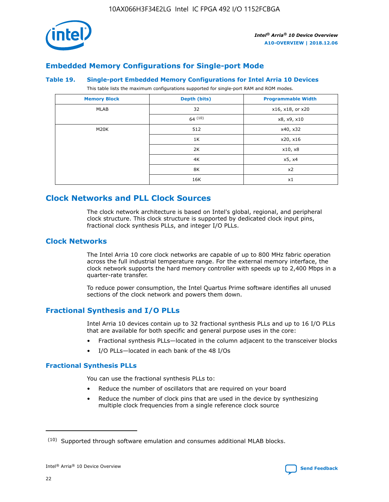

# **Embedded Memory Configurations for Single-port Mode**

#### **Table 19. Single-port Embedded Memory Configurations for Intel Arria 10 Devices**

This table lists the maximum configurations supported for single-port RAM and ROM modes.

| <b>Memory Block</b> | Depth (bits) | <b>Programmable Width</b> |
|---------------------|--------------|---------------------------|
| MLAB                | 32           | x16, x18, or x20          |
|                     | 64(10)       | x8, x9, x10               |
| M20K                | 512          | x40, x32                  |
|                     | 1K           | x20, x16                  |
|                     | 2K           | x10, x8                   |
|                     | 4K           | x5, x4                    |
|                     | 8K           | x2                        |
|                     | 16K          | x1                        |

# **Clock Networks and PLL Clock Sources**

The clock network architecture is based on Intel's global, regional, and peripheral clock structure. This clock structure is supported by dedicated clock input pins, fractional clock synthesis PLLs, and integer I/O PLLs.

## **Clock Networks**

The Intel Arria 10 core clock networks are capable of up to 800 MHz fabric operation across the full industrial temperature range. For the external memory interface, the clock network supports the hard memory controller with speeds up to 2,400 Mbps in a quarter-rate transfer.

To reduce power consumption, the Intel Quartus Prime software identifies all unused sections of the clock network and powers them down.

## **Fractional Synthesis and I/O PLLs**

Intel Arria 10 devices contain up to 32 fractional synthesis PLLs and up to 16 I/O PLLs that are available for both specific and general purpose uses in the core:

- Fractional synthesis PLLs—located in the column adjacent to the transceiver blocks
- I/O PLLs—located in each bank of the 48 I/Os

## **Fractional Synthesis PLLs**

You can use the fractional synthesis PLLs to:

- Reduce the number of oscillators that are required on your board
- Reduce the number of clock pins that are used in the device by synthesizing multiple clock frequencies from a single reference clock source

<sup>(10)</sup> Supported through software emulation and consumes additional MLAB blocks.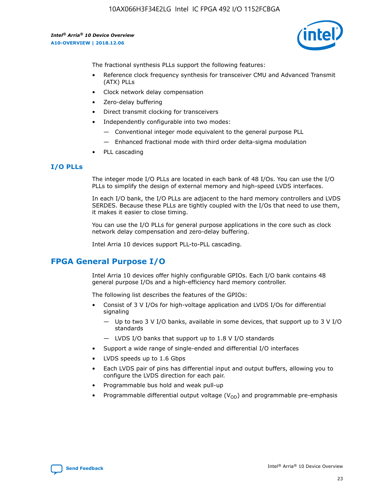10AX066H3F34E2LG Intel IC FPGA 492 I/O 1152FCBGA

*Intel® Arria® 10 Device Overview* **A10-OVERVIEW | 2018.12.06**



The fractional synthesis PLLs support the following features:

- Reference clock frequency synthesis for transceiver CMU and Advanced Transmit (ATX) PLLs
- Clock network delay compensation
- Zero-delay buffering
- Direct transmit clocking for transceivers
- Independently configurable into two modes:
	- Conventional integer mode equivalent to the general purpose PLL
	- Enhanced fractional mode with third order delta-sigma modulation
- PLL cascading

## **I/O PLLs**

The integer mode I/O PLLs are located in each bank of 48 I/Os. You can use the I/O PLLs to simplify the design of external memory and high-speed LVDS interfaces.

In each I/O bank, the I/O PLLs are adjacent to the hard memory controllers and LVDS SERDES. Because these PLLs are tightly coupled with the I/Os that need to use them, it makes it easier to close timing.

You can use the I/O PLLs for general purpose applications in the core such as clock network delay compensation and zero-delay buffering.

Intel Arria 10 devices support PLL-to-PLL cascading.

# **FPGA General Purpose I/O**

Intel Arria 10 devices offer highly configurable GPIOs. Each I/O bank contains 48 general purpose I/Os and a high-efficiency hard memory controller.

The following list describes the features of the GPIOs:

- Consist of 3 V I/Os for high-voltage application and LVDS I/Os for differential signaling
	- Up to two 3 V I/O banks, available in some devices, that support up to 3 V I/O standards
	- LVDS I/O banks that support up to 1.8 V I/O standards
- Support a wide range of single-ended and differential I/O interfaces
- LVDS speeds up to 1.6 Gbps
- Each LVDS pair of pins has differential input and output buffers, allowing you to configure the LVDS direction for each pair.
- Programmable bus hold and weak pull-up
- Programmable differential output voltage  $(V_{OD})$  and programmable pre-emphasis

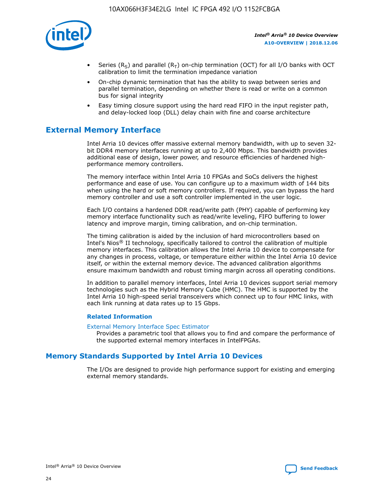

- Series (R<sub>S</sub>) and parallel (R<sub>T</sub>) on-chip termination (OCT) for all I/O banks with OCT calibration to limit the termination impedance variation
- On-chip dynamic termination that has the ability to swap between series and parallel termination, depending on whether there is read or write on a common bus for signal integrity
- Easy timing closure support using the hard read FIFO in the input register path, and delay-locked loop (DLL) delay chain with fine and coarse architecture

# **External Memory Interface**

Intel Arria 10 devices offer massive external memory bandwidth, with up to seven 32 bit DDR4 memory interfaces running at up to 2,400 Mbps. This bandwidth provides additional ease of design, lower power, and resource efficiencies of hardened highperformance memory controllers.

The memory interface within Intel Arria 10 FPGAs and SoCs delivers the highest performance and ease of use. You can configure up to a maximum width of 144 bits when using the hard or soft memory controllers. If required, you can bypass the hard memory controller and use a soft controller implemented in the user logic.

Each I/O contains a hardened DDR read/write path (PHY) capable of performing key memory interface functionality such as read/write leveling, FIFO buffering to lower latency and improve margin, timing calibration, and on-chip termination.

The timing calibration is aided by the inclusion of hard microcontrollers based on Intel's Nios® II technology, specifically tailored to control the calibration of multiple memory interfaces. This calibration allows the Intel Arria 10 device to compensate for any changes in process, voltage, or temperature either within the Intel Arria 10 device itself, or within the external memory device. The advanced calibration algorithms ensure maximum bandwidth and robust timing margin across all operating conditions.

In addition to parallel memory interfaces, Intel Arria 10 devices support serial memory technologies such as the Hybrid Memory Cube (HMC). The HMC is supported by the Intel Arria 10 high-speed serial transceivers which connect up to four HMC links, with each link running at data rates up to 15 Gbps.

## **Related Information**

#### [External Memory Interface Spec Estimator](http://www.altera.com/technology/memory/estimator/mem-emif-index.html)

Provides a parametric tool that allows you to find and compare the performance of the supported external memory interfaces in IntelFPGAs.

## **Memory Standards Supported by Intel Arria 10 Devices**

The I/Os are designed to provide high performance support for existing and emerging external memory standards.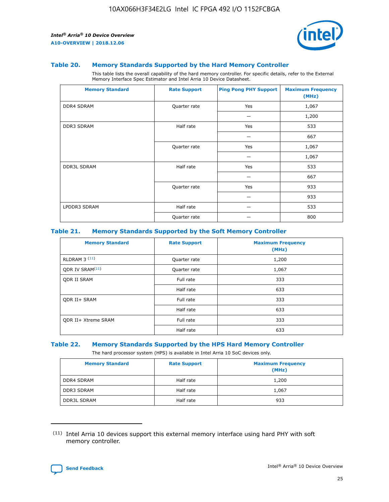

#### **Table 20. Memory Standards Supported by the Hard Memory Controller**

This table lists the overall capability of the hard memory controller. For specific details, refer to the External Memory Interface Spec Estimator and Intel Arria 10 Device Datasheet.

| <b>Memory Standard</b> | <b>Rate Support</b> | <b>Ping Pong PHY Support</b> | <b>Maximum Frequency</b><br>(MHz) |
|------------------------|---------------------|------------------------------|-----------------------------------|
| <b>DDR4 SDRAM</b>      | Quarter rate        | Yes                          | 1,067                             |
|                        |                     |                              | 1,200                             |
| <b>DDR3 SDRAM</b>      | Half rate           | Yes                          | 533                               |
|                        |                     |                              | 667                               |
|                        | Quarter rate        | Yes                          | 1,067                             |
|                        |                     |                              | 1,067                             |
| <b>DDR3L SDRAM</b>     | Half rate           | Yes                          | 533                               |
|                        |                     |                              | 667                               |
|                        | Quarter rate        | Yes                          | 933                               |
|                        |                     |                              | 933                               |
| LPDDR3 SDRAM           | Half rate           |                              | 533                               |
|                        | Quarter rate        |                              | 800                               |

## **Table 21. Memory Standards Supported by the Soft Memory Controller**

| <b>Memory Standard</b>      | <b>Rate Support</b> | <b>Maximum Frequency</b><br>(MHz) |
|-----------------------------|---------------------|-----------------------------------|
| <b>RLDRAM 3 (11)</b>        | Quarter rate        | 1,200                             |
| ODR IV SRAM <sup>(11)</sup> | Quarter rate        | 1,067                             |
| <b>ODR II SRAM</b>          | Full rate           | 333                               |
|                             | Half rate           | 633                               |
| <b>ODR II+ SRAM</b>         | Full rate           | 333                               |
|                             | Half rate           | 633                               |
| <b>ODR II+ Xtreme SRAM</b>  | Full rate           | 333                               |
|                             | Half rate           | 633                               |

#### **Table 22. Memory Standards Supported by the HPS Hard Memory Controller**

The hard processor system (HPS) is available in Intel Arria 10 SoC devices only.

| <b>Memory Standard</b> | <b>Rate Support</b> | <b>Maximum Frequency</b><br>(MHz) |
|------------------------|---------------------|-----------------------------------|
| <b>DDR4 SDRAM</b>      | Half rate           | 1,200                             |
| <b>DDR3 SDRAM</b>      | Half rate           | 1,067                             |
| <b>DDR3L SDRAM</b>     | Half rate           | 933                               |

<sup>(11)</sup> Intel Arria 10 devices support this external memory interface using hard PHY with soft memory controller.

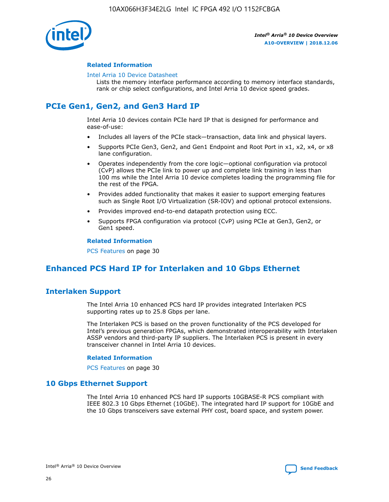

## **Related Information**

#### [Intel Arria 10 Device Datasheet](https://www.intel.com/content/www/us/en/programmable/documentation/mcn1413182292568.html#mcn1413182153340)

Lists the memory interface performance according to memory interface standards, rank or chip select configurations, and Intel Arria 10 device speed grades.

# **PCIe Gen1, Gen2, and Gen3 Hard IP**

Intel Arria 10 devices contain PCIe hard IP that is designed for performance and ease-of-use:

- Includes all layers of the PCIe stack—transaction, data link and physical layers.
- Supports PCIe Gen3, Gen2, and Gen1 Endpoint and Root Port in x1, x2, x4, or x8 lane configuration.
- Operates independently from the core logic—optional configuration via protocol (CvP) allows the PCIe link to power up and complete link training in less than 100 ms while the Intel Arria 10 device completes loading the programming file for the rest of the FPGA.
- Provides added functionality that makes it easier to support emerging features such as Single Root I/O Virtualization (SR-IOV) and optional protocol extensions.
- Provides improved end-to-end datapath protection using ECC.
- Supports FPGA configuration via protocol (CvP) using PCIe at Gen3, Gen2, or Gen1 speed.

#### **Related Information**

PCS Features on page 30

# **Enhanced PCS Hard IP for Interlaken and 10 Gbps Ethernet**

## **Interlaken Support**

The Intel Arria 10 enhanced PCS hard IP provides integrated Interlaken PCS supporting rates up to 25.8 Gbps per lane.

The Interlaken PCS is based on the proven functionality of the PCS developed for Intel's previous generation FPGAs, which demonstrated interoperability with Interlaken ASSP vendors and third-party IP suppliers. The Interlaken PCS is present in every transceiver channel in Intel Arria 10 devices.

## **Related Information**

PCS Features on page 30

## **10 Gbps Ethernet Support**

The Intel Arria 10 enhanced PCS hard IP supports 10GBASE-R PCS compliant with IEEE 802.3 10 Gbps Ethernet (10GbE). The integrated hard IP support for 10GbE and the 10 Gbps transceivers save external PHY cost, board space, and system power.

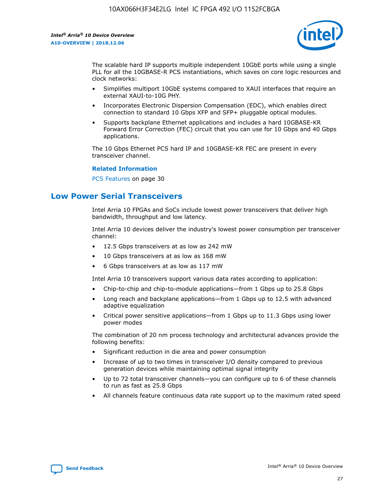

The scalable hard IP supports multiple independent 10GbE ports while using a single PLL for all the 10GBASE-R PCS instantiations, which saves on core logic resources and clock networks:

- Simplifies multiport 10GbE systems compared to XAUI interfaces that require an external XAUI-to-10G PHY.
- Incorporates Electronic Dispersion Compensation (EDC), which enables direct connection to standard 10 Gbps XFP and SFP+ pluggable optical modules.
- Supports backplane Ethernet applications and includes a hard 10GBASE-KR Forward Error Correction (FEC) circuit that you can use for 10 Gbps and 40 Gbps applications.

The 10 Gbps Ethernet PCS hard IP and 10GBASE-KR FEC are present in every transceiver channel.

#### **Related Information**

PCS Features on page 30

# **Low Power Serial Transceivers**

Intel Arria 10 FPGAs and SoCs include lowest power transceivers that deliver high bandwidth, throughput and low latency.

Intel Arria 10 devices deliver the industry's lowest power consumption per transceiver channel:

- 12.5 Gbps transceivers at as low as 242 mW
- 10 Gbps transceivers at as low as 168 mW
- 6 Gbps transceivers at as low as 117 mW

Intel Arria 10 transceivers support various data rates according to application:

- Chip-to-chip and chip-to-module applications—from 1 Gbps up to 25.8 Gbps
- Long reach and backplane applications—from 1 Gbps up to 12.5 with advanced adaptive equalization
- Critical power sensitive applications—from 1 Gbps up to 11.3 Gbps using lower power modes

The combination of 20 nm process technology and architectural advances provide the following benefits:

- Significant reduction in die area and power consumption
- Increase of up to two times in transceiver I/O density compared to previous generation devices while maintaining optimal signal integrity
- Up to 72 total transceiver channels—you can configure up to 6 of these channels to run as fast as 25.8 Gbps
- All channels feature continuous data rate support up to the maximum rated speed

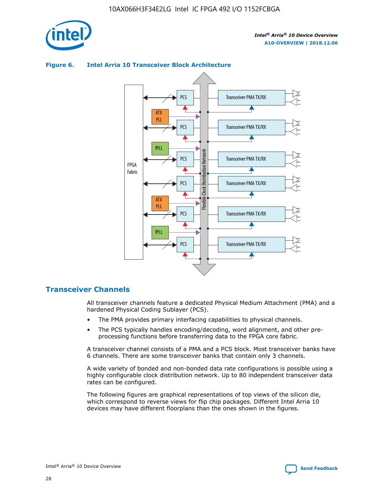



## **Figure 6. Intel Arria 10 Transceiver Block Architecture**

## **Transceiver Channels**

All transceiver channels feature a dedicated Physical Medium Attachment (PMA) and a hardened Physical Coding Sublayer (PCS).

- The PMA provides primary interfacing capabilities to physical channels.
- The PCS typically handles encoding/decoding, word alignment, and other preprocessing functions before transferring data to the FPGA core fabric.

A transceiver channel consists of a PMA and a PCS block. Most transceiver banks have 6 channels. There are some transceiver banks that contain only 3 channels.

A wide variety of bonded and non-bonded data rate configurations is possible using a highly configurable clock distribution network. Up to 80 independent transceiver data rates can be configured.

The following figures are graphical representations of top views of the silicon die, which correspond to reverse views for flip chip packages. Different Intel Arria 10 devices may have different floorplans than the ones shown in the figures.

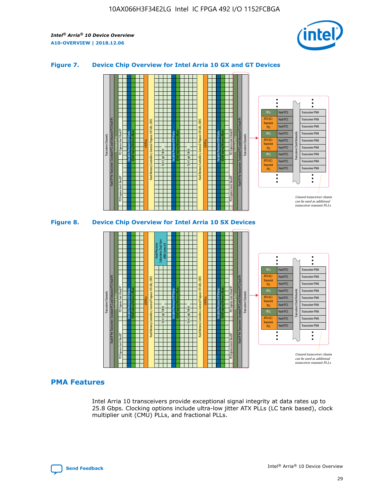

## **Figure 7. Device Chip Overview for Intel Arria 10 GX and GT Devices**





## **PMA Features**

Intel Arria 10 transceivers provide exceptional signal integrity at data rates up to 25.8 Gbps. Clocking options include ultra-low jitter ATX PLLs (LC tank based), clock multiplier unit (CMU) PLLs, and fractional PLLs.

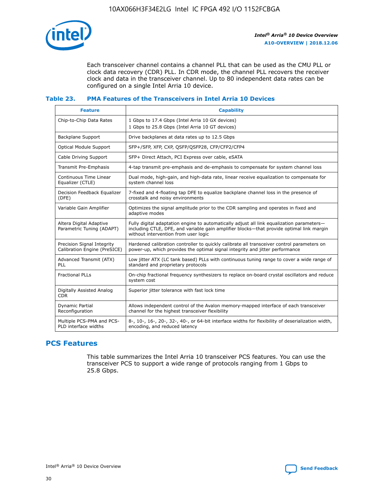

Each transceiver channel contains a channel PLL that can be used as the CMU PLL or clock data recovery (CDR) PLL. In CDR mode, the channel PLL recovers the receiver clock and data in the transceiver channel. Up to 80 independent data rates can be configured on a single Intel Arria 10 device.

## **Table 23. PMA Features of the Transceivers in Intel Arria 10 Devices**

| <b>Feature</b>                                             | <b>Capability</b>                                                                                                                                                                                                             |
|------------------------------------------------------------|-------------------------------------------------------------------------------------------------------------------------------------------------------------------------------------------------------------------------------|
| Chip-to-Chip Data Rates                                    | 1 Gbps to 17.4 Gbps (Intel Arria 10 GX devices)<br>1 Gbps to 25.8 Gbps (Intel Arria 10 GT devices)                                                                                                                            |
| <b>Backplane Support</b>                                   | Drive backplanes at data rates up to 12.5 Gbps                                                                                                                                                                                |
| <b>Optical Module Support</b>                              | SFP+/SFP, XFP, CXP, QSFP/QSFP28, CFP/CFP2/CFP4                                                                                                                                                                                |
| Cable Driving Support                                      | SFP+ Direct Attach, PCI Express over cable, eSATA                                                                                                                                                                             |
| Transmit Pre-Emphasis                                      | 4-tap transmit pre-emphasis and de-emphasis to compensate for system channel loss                                                                                                                                             |
| Continuous Time Linear<br>Equalizer (CTLE)                 | Dual mode, high-gain, and high-data rate, linear receive equalization to compensate for<br>system channel loss                                                                                                                |
| Decision Feedback Equalizer<br>(DFE)                       | 7-fixed and 4-floating tap DFE to equalize backplane channel loss in the presence of<br>crosstalk and noisy environments                                                                                                      |
| Variable Gain Amplifier                                    | Optimizes the signal amplitude prior to the CDR sampling and operates in fixed and<br>adaptive modes                                                                                                                          |
| Altera Digital Adaptive<br>Parametric Tuning (ADAPT)       | Fully digital adaptation engine to automatically adjust all link equalization parameters-<br>including CTLE, DFE, and variable gain amplifier blocks—that provide optimal link margin<br>without intervention from user logic |
| Precision Signal Integrity<br>Calibration Engine (PreSICE) | Hardened calibration controller to quickly calibrate all transceiver control parameters on<br>power-up, which provides the optimal signal integrity and jitter performance                                                    |
| Advanced Transmit (ATX)<br>PLL                             | Low jitter ATX (LC tank based) PLLs with continuous tuning range to cover a wide range of<br>standard and proprietary protocols                                                                                               |
| <b>Fractional PLLs</b>                                     | On-chip fractional frequency synthesizers to replace on-board crystal oscillators and reduce<br>system cost                                                                                                                   |
| Digitally Assisted Analog<br><b>CDR</b>                    | Superior jitter tolerance with fast lock time                                                                                                                                                                                 |
| <b>Dynamic Partial</b><br>Reconfiguration                  | Allows independent control of the Avalon memory-mapped interface of each transceiver<br>channel for the highest transceiver flexibility                                                                                       |
| Multiple PCS-PMA and PCS-<br>PLD interface widths          | 8-, 10-, 16-, 20-, 32-, 40-, or 64-bit interface widths for flexibility of deserialization width,<br>encoding, and reduced latency                                                                                            |

## **PCS Features**

This table summarizes the Intel Arria 10 transceiver PCS features. You can use the transceiver PCS to support a wide range of protocols ranging from 1 Gbps to 25.8 Gbps.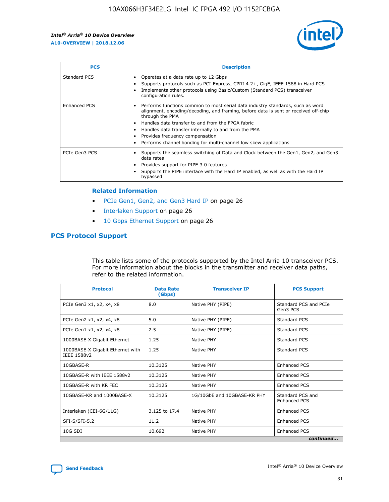

| <b>PCS</b>    | <b>Description</b>                                                                                                                                                                                                                                                                                                                                                                                             |
|---------------|----------------------------------------------------------------------------------------------------------------------------------------------------------------------------------------------------------------------------------------------------------------------------------------------------------------------------------------------------------------------------------------------------------------|
| Standard PCS  | Operates at a data rate up to 12 Gbps<br>Supports protocols such as PCI-Express, CPRI 4.2+, GigE, IEEE 1588 in Hard PCS<br>Implements other protocols using Basic/Custom (Standard PCS) transceiver<br>configuration rules.                                                                                                                                                                                    |
| Enhanced PCS  | Performs functions common to most serial data industry standards, such as word<br>alignment, encoding/decoding, and framing, before data is sent or received off-chip<br>through the PMA<br>• Handles data transfer to and from the FPGA fabric<br>Handles data transfer internally to and from the PMA<br>Provides frequency compensation<br>Performs channel bonding for multi-channel low skew applications |
| PCIe Gen3 PCS | Supports the seamless switching of Data and Clock between the Gen1, Gen2, and Gen3<br>data rates<br>Provides support for PIPE 3.0 features<br>Supports the PIPE interface with the Hard IP enabled, as well as with the Hard IP<br>bypassed                                                                                                                                                                    |

#### **Related Information**

- PCIe Gen1, Gen2, and Gen3 Hard IP on page 26
- Interlaken Support on page 26
- 10 Gbps Ethernet Support on page 26

## **PCS Protocol Support**

This table lists some of the protocols supported by the Intel Arria 10 transceiver PCS. For more information about the blocks in the transmitter and receiver data paths, refer to the related information.

| <b>Protocol</b>                                 | <b>Data Rate</b><br>(Gbps) | <b>Transceiver IP</b>       | <b>PCS Support</b>                      |
|-------------------------------------------------|----------------------------|-----------------------------|-----------------------------------------|
| PCIe Gen3 x1, x2, x4, x8                        | 8.0                        | Native PHY (PIPE)           | Standard PCS and PCIe<br>Gen3 PCS       |
| PCIe Gen2 x1, x2, x4, x8                        | 5.0                        | Native PHY (PIPE)           | <b>Standard PCS</b>                     |
| PCIe Gen1 x1, x2, x4, x8                        | 2.5                        | Native PHY (PIPE)           | Standard PCS                            |
| 1000BASE-X Gigabit Ethernet                     | 1.25                       | Native PHY                  | <b>Standard PCS</b>                     |
| 1000BASE-X Gigabit Ethernet with<br>IEEE 1588v2 | 1.25                       | Native PHY                  | Standard PCS                            |
| 10GBASE-R                                       | 10.3125                    | Native PHY                  | <b>Enhanced PCS</b>                     |
| 10GBASE-R with IEEE 1588v2                      | 10.3125                    | Native PHY                  | <b>Enhanced PCS</b>                     |
| 10GBASE-R with KR FEC                           | 10.3125                    | Native PHY                  | <b>Enhanced PCS</b>                     |
| 10GBASE-KR and 1000BASE-X                       | 10.3125                    | 1G/10GbE and 10GBASE-KR PHY | Standard PCS and<br><b>Enhanced PCS</b> |
| Interlaken (CEI-6G/11G)                         | 3.125 to 17.4              | Native PHY                  | <b>Enhanced PCS</b>                     |
| SFI-S/SFI-5.2                                   | 11.2                       | Native PHY                  | <b>Enhanced PCS</b>                     |
| $10G$ SDI                                       | 10.692                     | Native PHY                  | <b>Enhanced PCS</b>                     |
|                                                 |                            |                             | continued                               |

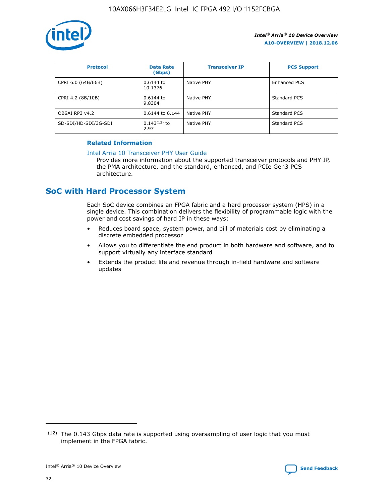

| <b>Protocol</b>      | <b>Data Rate</b><br>(Gbps) | <b>Transceiver IP</b> | <b>PCS Support</b> |
|----------------------|----------------------------|-----------------------|--------------------|
| CPRI 6.0 (64B/66B)   | 0.6144 to<br>10.1376       | Native PHY            | Enhanced PCS       |
| CPRI 4.2 (8B/10B)    | 0.6144 to<br>9.8304        | Native PHY            | Standard PCS       |
| OBSAI RP3 v4.2       | 0.6144 to 6.144            | Native PHY            | Standard PCS       |
| SD-SDI/HD-SDI/3G-SDI | $0.143(12)$ to<br>2.97     | Native PHY            | Standard PCS       |

## **Related Information**

#### [Intel Arria 10 Transceiver PHY User Guide](https://www.intel.com/content/www/us/en/programmable/documentation/nik1398707230472.html#nik1398707091164)

Provides more information about the supported transceiver protocols and PHY IP, the PMA architecture, and the standard, enhanced, and PCIe Gen3 PCS architecture.

# **SoC with Hard Processor System**

Each SoC device combines an FPGA fabric and a hard processor system (HPS) in a single device. This combination delivers the flexibility of programmable logic with the power and cost savings of hard IP in these ways:

- Reduces board space, system power, and bill of materials cost by eliminating a discrete embedded processor
- Allows you to differentiate the end product in both hardware and software, and to support virtually any interface standard
- Extends the product life and revenue through in-field hardware and software updates

 $(12)$  The 0.143 Gbps data rate is supported using oversampling of user logic that you must implement in the FPGA fabric.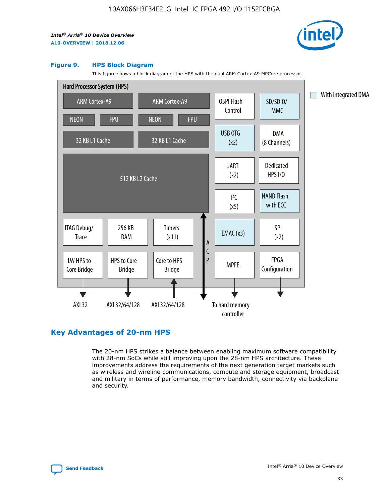

#### **Figure 9. HPS Block Diagram**

This figure shows a block diagram of the HPS with the dual ARM Cortex-A9 MPCore processor.



## **Key Advantages of 20-nm HPS**

The 20-nm HPS strikes a balance between enabling maximum software compatibility with 28-nm SoCs while still improving upon the 28-nm HPS architecture. These improvements address the requirements of the next generation target markets such as wireless and wireline communications, compute and storage equipment, broadcast and military in terms of performance, memory bandwidth, connectivity via backplane and security.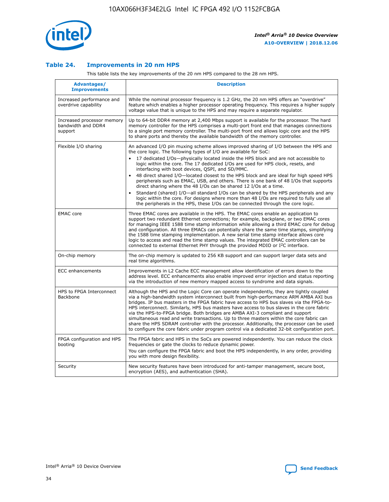

## **Table 24. Improvements in 20 nm HPS**

This table lists the key improvements of the 20 nm HPS compared to the 28 nm HPS.

| Advantages/<br><b>Improvements</b>                          | <b>Description</b>                                                                                                                                                                                                                                                                                                                                                                                                                                                                                                                                                                                                                                                                                                                                                                                                                                                                                                      |
|-------------------------------------------------------------|-------------------------------------------------------------------------------------------------------------------------------------------------------------------------------------------------------------------------------------------------------------------------------------------------------------------------------------------------------------------------------------------------------------------------------------------------------------------------------------------------------------------------------------------------------------------------------------------------------------------------------------------------------------------------------------------------------------------------------------------------------------------------------------------------------------------------------------------------------------------------------------------------------------------------|
| Increased performance and<br>overdrive capability           | While the nominal processor frequency is 1.2 GHz, the 20 nm HPS offers an "overdrive"<br>feature which enables a higher processor operating frequency. This requires a higher supply<br>voltage value that is unique to the HPS and may require a separate regulator.                                                                                                                                                                                                                                                                                                                                                                                                                                                                                                                                                                                                                                                   |
| Increased processor memory<br>bandwidth and DDR4<br>support | Up to 64-bit DDR4 memory at 2,400 Mbps support is available for the processor. The hard<br>memory controller for the HPS comprises a multi-port front end that manages connections<br>to a single port memory controller. The multi-port front end allows logic core and the HPS<br>to share ports and thereby the available bandwidth of the memory controller.                                                                                                                                                                                                                                                                                                                                                                                                                                                                                                                                                        |
| Flexible I/O sharing                                        | An advanced I/O pin muxing scheme allows improved sharing of I/O between the HPS and<br>the core logic. The following types of I/O are available for SoC:<br>17 dedicated I/Os-physically located inside the HPS block and are not accessible to<br>logic within the core. The 17 dedicated I/Os are used for HPS clock, resets, and<br>interfacing with boot devices, QSPI, and SD/MMC.<br>48 direct shared I/O-located closest to the HPS block and are ideal for high speed HPS<br>peripherals such as EMAC, USB, and others. There is one bank of 48 I/Os that supports<br>direct sharing where the 48 I/Os can be shared 12 I/Os at a time.<br>Standard (shared) I/O-all standard I/Os can be shared by the HPS peripherals and any<br>logic within the core. For designs where more than 48 I/Os are reguired to fully use all<br>the peripherals in the HPS, these I/Os can be connected through the core logic. |
| <b>EMAC</b> core                                            | Three EMAC cores are available in the HPS. The EMAC cores enable an application to<br>support two redundant Ethernet connections; for example, backplane, or two EMAC cores<br>for managing IEEE 1588 time stamp information while allowing a third EMAC core for debug<br>and configuration. All three EMACs can potentially share the same time stamps, simplifying<br>the 1588 time stamping implementation. A new serial time stamp interface allows core<br>logic to access and read the time stamp values. The integrated EMAC controllers can be<br>connected to external Ethernet PHY through the provided MDIO or I <sup>2</sup> C interface.                                                                                                                                                                                                                                                                  |
| On-chip memory                                              | The on-chip memory is updated to 256 KB support and can support larger data sets and<br>real time algorithms.                                                                                                                                                                                                                                                                                                                                                                                                                                                                                                                                                                                                                                                                                                                                                                                                           |
| <b>ECC</b> enhancements                                     | Improvements in L2 Cache ECC management allow identification of errors down to the<br>address level. ECC enhancements also enable improved error injection and status reporting<br>via the introduction of new memory mapped access to syndrome and data signals.                                                                                                                                                                                                                                                                                                                                                                                                                                                                                                                                                                                                                                                       |
| HPS to FPGA Interconnect<br>Backbone                        | Although the HPS and the Logic Core can operate independently, they are tightly coupled<br>via a high-bandwidth system interconnect built from high-performance ARM AMBA AXI bus<br>bridges. IP bus masters in the FPGA fabric have access to HPS bus slaves via the FPGA-to-<br>HPS interconnect. Similarly, HPS bus masters have access to bus slaves in the core fabric<br>via the HPS-to-FPGA bridge. Both bridges are AMBA AXI-3 compliant and support<br>simultaneous read and write transactions. Up to three masters within the core fabric can<br>share the HPS SDRAM controller with the processor. Additionally, the processor can be used<br>to configure the core fabric under program control via a dedicated 32-bit configuration port.                                                                                                                                                                  |
| FPGA configuration and HPS<br>booting                       | The FPGA fabric and HPS in the SoCs are powered independently. You can reduce the clock<br>frequencies or gate the clocks to reduce dynamic power.<br>You can configure the FPGA fabric and boot the HPS independently, in any order, providing<br>you with more design flexibility.                                                                                                                                                                                                                                                                                                                                                                                                                                                                                                                                                                                                                                    |
| Security                                                    | New security features have been introduced for anti-tamper management, secure boot,<br>encryption (AES), and authentication (SHA).                                                                                                                                                                                                                                                                                                                                                                                                                                                                                                                                                                                                                                                                                                                                                                                      |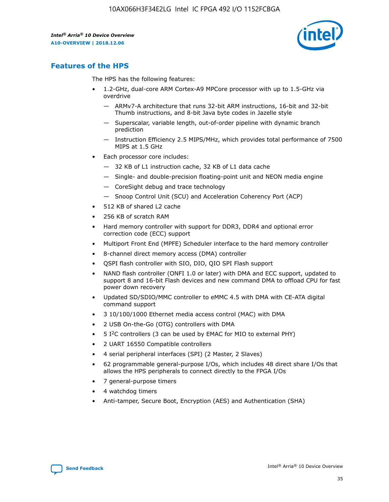

# **Features of the HPS**

The HPS has the following features:

- 1.2-GHz, dual-core ARM Cortex-A9 MPCore processor with up to 1.5-GHz via overdrive
	- ARMv7-A architecture that runs 32-bit ARM instructions, 16-bit and 32-bit Thumb instructions, and 8-bit Java byte codes in Jazelle style
	- Superscalar, variable length, out-of-order pipeline with dynamic branch prediction
	- Instruction Efficiency 2.5 MIPS/MHz, which provides total performance of 7500 MIPS at 1.5 GHz
- Each processor core includes:
	- 32 KB of L1 instruction cache, 32 KB of L1 data cache
	- Single- and double-precision floating-point unit and NEON media engine
	- CoreSight debug and trace technology
	- Snoop Control Unit (SCU) and Acceleration Coherency Port (ACP)
- 512 KB of shared L2 cache
- 256 KB of scratch RAM
- Hard memory controller with support for DDR3, DDR4 and optional error correction code (ECC) support
- Multiport Front End (MPFE) Scheduler interface to the hard memory controller
- 8-channel direct memory access (DMA) controller
- QSPI flash controller with SIO, DIO, QIO SPI Flash support
- NAND flash controller (ONFI 1.0 or later) with DMA and ECC support, updated to support 8 and 16-bit Flash devices and new command DMA to offload CPU for fast power down recovery
- Updated SD/SDIO/MMC controller to eMMC 4.5 with DMA with CE-ATA digital command support
- 3 10/100/1000 Ethernet media access control (MAC) with DMA
- 2 USB On-the-Go (OTG) controllers with DMA
- $\bullet$  5 I<sup>2</sup>C controllers (3 can be used by EMAC for MIO to external PHY)
- 2 UART 16550 Compatible controllers
- 4 serial peripheral interfaces (SPI) (2 Master, 2 Slaves)
- 62 programmable general-purpose I/Os, which includes 48 direct share I/Os that allows the HPS peripherals to connect directly to the FPGA I/Os
- 7 general-purpose timers
- 4 watchdog timers
- Anti-tamper, Secure Boot, Encryption (AES) and Authentication (SHA)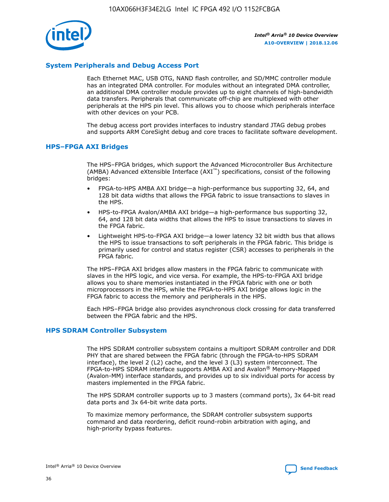

## **System Peripherals and Debug Access Port**

Each Ethernet MAC, USB OTG, NAND flash controller, and SD/MMC controller module has an integrated DMA controller. For modules without an integrated DMA controller, an additional DMA controller module provides up to eight channels of high-bandwidth data transfers. Peripherals that communicate off-chip are multiplexed with other peripherals at the HPS pin level. This allows you to choose which peripherals interface with other devices on your PCB.

The debug access port provides interfaces to industry standard JTAG debug probes and supports ARM CoreSight debug and core traces to facilitate software development.

#### **HPS–FPGA AXI Bridges**

The HPS–FPGA bridges, which support the Advanced Microcontroller Bus Architecture (AMBA) Advanced eXtensible Interface (AXI™) specifications, consist of the following bridges:

- FPGA-to-HPS AMBA AXI bridge—a high-performance bus supporting 32, 64, and 128 bit data widths that allows the FPGA fabric to issue transactions to slaves in the HPS.
- HPS-to-FPGA Avalon/AMBA AXI bridge—a high-performance bus supporting 32, 64, and 128 bit data widths that allows the HPS to issue transactions to slaves in the FPGA fabric.
- Lightweight HPS-to-FPGA AXI bridge—a lower latency 32 bit width bus that allows the HPS to issue transactions to soft peripherals in the FPGA fabric. This bridge is primarily used for control and status register (CSR) accesses to peripherals in the FPGA fabric.

The HPS–FPGA AXI bridges allow masters in the FPGA fabric to communicate with slaves in the HPS logic, and vice versa. For example, the HPS-to-FPGA AXI bridge allows you to share memories instantiated in the FPGA fabric with one or both microprocessors in the HPS, while the FPGA-to-HPS AXI bridge allows logic in the FPGA fabric to access the memory and peripherals in the HPS.

Each HPS–FPGA bridge also provides asynchronous clock crossing for data transferred between the FPGA fabric and the HPS.

#### **HPS SDRAM Controller Subsystem**

The HPS SDRAM controller subsystem contains a multiport SDRAM controller and DDR PHY that are shared between the FPGA fabric (through the FPGA-to-HPS SDRAM interface), the level 2 (L2) cache, and the level 3 (L3) system interconnect. The FPGA-to-HPS SDRAM interface supports AMBA AXI and Avalon® Memory-Mapped (Avalon-MM) interface standards, and provides up to six individual ports for access by masters implemented in the FPGA fabric.

The HPS SDRAM controller supports up to 3 masters (command ports), 3x 64-bit read data ports and 3x 64-bit write data ports.

To maximize memory performance, the SDRAM controller subsystem supports command and data reordering, deficit round-robin arbitration with aging, and high-priority bypass features.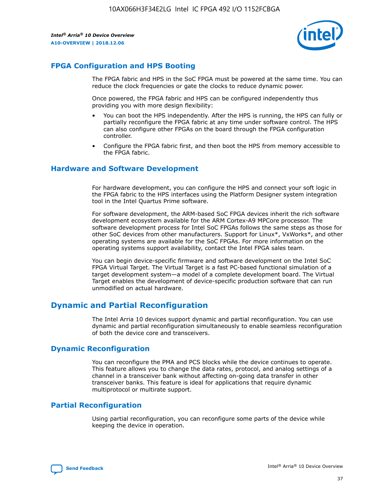

## **FPGA Configuration and HPS Booting**

The FPGA fabric and HPS in the SoC FPGA must be powered at the same time. You can reduce the clock frequencies or gate the clocks to reduce dynamic power.

Once powered, the FPGA fabric and HPS can be configured independently thus providing you with more design flexibility:

- You can boot the HPS independently. After the HPS is running, the HPS can fully or partially reconfigure the FPGA fabric at any time under software control. The HPS can also configure other FPGAs on the board through the FPGA configuration controller.
- Configure the FPGA fabric first, and then boot the HPS from memory accessible to the FPGA fabric.

## **Hardware and Software Development**

For hardware development, you can configure the HPS and connect your soft logic in the FPGA fabric to the HPS interfaces using the Platform Designer system integration tool in the Intel Quartus Prime software.

For software development, the ARM-based SoC FPGA devices inherit the rich software development ecosystem available for the ARM Cortex-A9 MPCore processor. The software development process for Intel SoC FPGAs follows the same steps as those for other SoC devices from other manufacturers. Support for Linux\*, VxWorks\*, and other operating systems are available for the SoC FPGAs. For more information on the operating systems support availability, contact the Intel FPGA sales team.

You can begin device-specific firmware and software development on the Intel SoC FPGA Virtual Target. The Virtual Target is a fast PC-based functional simulation of a target development system—a model of a complete development board. The Virtual Target enables the development of device-specific production software that can run unmodified on actual hardware.

## **Dynamic and Partial Reconfiguration**

The Intel Arria 10 devices support dynamic and partial reconfiguration. You can use dynamic and partial reconfiguration simultaneously to enable seamless reconfiguration of both the device core and transceivers.

## **Dynamic Reconfiguration**

You can reconfigure the PMA and PCS blocks while the device continues to operate. This feature allows you to change the data rates, protocol, and analog settings of a channel in a transceiver bank without affecting on-going data transfer in other transceiver banks. This feature is ideal for applications that require dynamic multiprotocol or multirate support.

## **Partial Reconfiguration**

Using partial reconfiguration, you can reconfigure some parts of the device while keeping the device in operation.

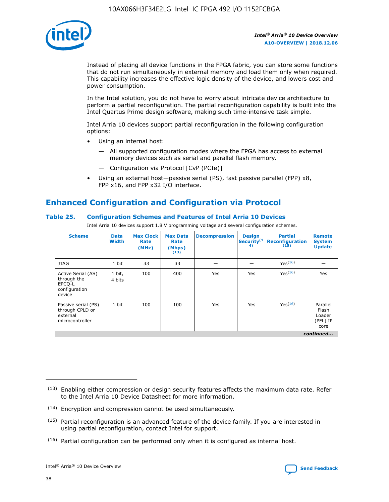

Instead of placing all device functions in the FPGA fabric, you can store some functions that do not run simultaneously in external memory and load them only when required. This capability increases the effective logic density of the device, and lowers cost and power consumption.

In the Intel solution, you do not have to worry about intricate device architecture to perform a partial reconfiguration. The partial reconfiguration capability is built into the Intel Quartus Prime design software, making such time-intensive task simple.

Intel Arria 10 devices support partial reconfiguration in the following configuration options:

- Using an internal host:
	- All supported configuration modes where the FPGA has access to external memory devices such as serial and parallel flash memory.
	- Configuration via Protocol [CvP (PCIe)]
- Using an external host—passive serial (PS), fast passive parallel (FPP) x8, FPP x16, and FPP x32 I/O interface.

# **Enhanced Configuration and Configuration via Protocol**

## **Table 25. Configuration Schemes and Features of Intel Arria 10 Devices**

Intel Arria 10 devices support 1.8 V programming voltage and several configuration schemes.

| <b>Scheme</b>                                                          | <b>Data</b><br><b>Width</b> | <b>Max Clock</b><br>Rate<br>(MHz) | <b>Max Data</b><br>Rate<br>(Mbps)<br>(13) | <b>Decompression</b> | <b>Design</b><br>Security <sup>(1</sup><br>4) | <b>Partial</b><br><b>Reconfiguration</b><br>(15) | <b>Remote</b><br><b>System</b><br><b>Update</b> |
|------------------------------------------------------------------------|-----------------------------|-----------------------------------|-------------------------------------------|----------------------|-----------------------------------------------|--------------------------------------------------|-------------------------------------------------|
| <b>JTAG</b>                                                            | 1 bit                       | 33                                | 33                                        |                      |                                               | Yes(16)                                          |                                                 |
| Active Serial (AS)<br>through the<br>EPCO-L<br>configuration<br>device | 1 bit,<br>4 bits            | 100                               | 400                                       | Yes                  | Yes                                           | Yes(16)                                          | Yes                                             |
| Passive serial (PS)<br>through CPLD or<br>external<br>microcontroller  | 1 bit                       | 100                               | 100                                       | Yes                  | Yes                                           | $Yes^{(16)}$                                     | Parallel<br>Flash<br>Loader<br>(PFL) IP<br>core |
|                                                                        |                             |                                   |                                           |                      |                                               |                                                  | continued                                       |

<sup>(13)</sup> Enabling either compression or design security features affects the maximum data rate. Refer to the Intel Arria 10 Device Datasheet for more information.

<sup>(14)</sup> Encryption and compression cannot be used simultaneously.

 $(15)$  Partial reconfiguration is an advanced feature of the device family. If you are interested in using partial reconfiguration, contact Intel for support.

 $(16)$  Partial configuration can be performed only when it is configured as internal host.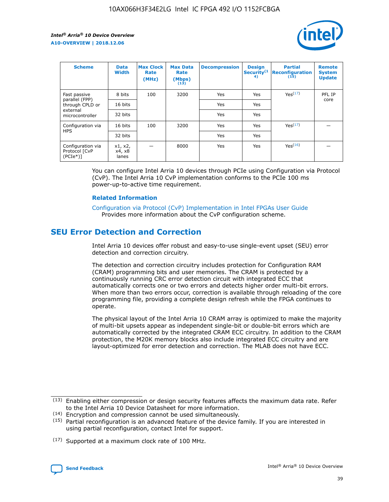

| <b>Scheme</b>                                   | <b>Data</b><br><b>Width</b> | <b>Max Clock</b><br>Rate<br>(MHz) | <b>Max Data</b><br>Rate<br>(Mbps)<br>(13) | <b>Decompression</b> | <b>Design</b><br>Security <sup>(1</sup><br>4) | <b>Partial</b><br><b>Reconfiguration</b><br>(15) | <b>Remote</b><br><b>System</b><br><b>Update</b> |
|-------------------------------------------------|-----------------------------|-----------------------------------|-------------------------------------------|----------------------|-----------------------------------------------|--------------------------------------------------|-------------------------------------------------|
| Fast passive                                    | 8 bits                      | 100                               | 3200                                      | Yes                  | Yes                                           | Yes(17)                                          | PFL IP                                          |
| parallel (FPP)<br>through CPLD or               | 16 bits                     |                                   |                                           | Yes                  | Yes                                           |                                                  | core                                            |
| external<br>microcontroller                     | 32 bits                     |                                   |                                           | Yes                  | Yes                                           |                                                  |                                                 |
| Configuration via                               | 16 bits                     | 100                               | 3200                                      | Yes                  | Yes                                           | Yes <sup>(17)</sup>                              |                                                 |
| <b>HPS</b>                                      | 32 bits                     |                                   |                                           | Yes                  | Yes                                           |                                                  |                                                 |
| Configuration via<br>Protocol [CvP<br>$(PCIe*)$ | x1, x2,<br>x4, x8<br>lanes  |                                   | 8000                                      | Yes                  | Yes                                           | Yes(16)                                          |                                                 |

You can configure Intel Arria 10 devices through PCIe using Configuration via Protocol (CvP). The Intel Arria 10 CvP implementation conforms to the PCIe 100 ms power-up-to-active time requirement.

## **Related Information**

[Configuration via Protocol \(CvP\) Implementation in Intel FPGAs User Guide](https://www.intel.com/content/www/us/en/programmable/documentation/dsu1441819344145.html#dsu1442269728522) Provides more information about the CvP configuration scheme.

# **SEU Error Detection and Correction**

Intel Arria 10 devices offer robust and easy-to-use single-event upset (SEU) error detection and correction circuitry.

The detection and correction circuitry includes protection for Configuration RAM (CRAM) programming bits and user memories. The CRAM is protected by a continuously running CRC error detection circuit with integrated ECC that automatically corrects one or two errors and detects higher order multi-bit errors. When more than two errors occur, correction is available through reloading of the core programming file, providing a complete design refresh while the FPGA continues to operate.

The physical layout of the Intel Arria 10 CRAM array is optimized to make the majority of multi-bit upsets appear as independent single-bit or double-bit errors which are automatically corrected by the integrated CRAM ECC circuitry. In addition to the CRAM protection, the M20K memory blocks also include integrated ECC circuitry and are layout-optimized for error detection and correction. The MLAB does not have ECC.

(14) Encryption and compression cannot be used simultaneously.

<sup>(17)</sup> Supported at a maximum clock rate of 100 MHz.



 $(13)$  Enabling either compression or design security features affects the maximum data rate. Refer to the Intel Arria 10 Device Datasheet for more information.

 $(15)$  Partial reconfiguration is an advanced feature of the device family. If you are interested in using partial reconfiguration, contact Intel for support.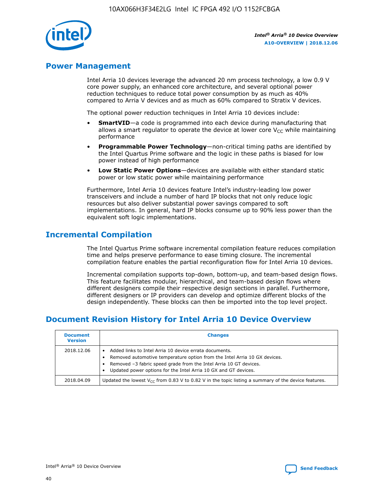

## **Power Management**

Intel Arria 10 devices leverage the advanced 20 nm process technology, a low 0.9 V core power supply, an enhanced core architecture, and several optional power reduction techniques to reduce total power consumption by as much as 40% compared to Arria V devices and as much as 60% compared to Stratix V devices.

The optional power reduction techniques in Intel Arria 10 devices include:

- **SmartVID**—a code is programmed into each device during manufacturing that allows a smart regulator to operate the device at lower core  $V_{CC}$  while maintaining performance
- **Programmable Power Technology**—non-critical timing paths are identified by the Intel Quartus Prime software and the logic in these paths is biased for low power instead of high performance
- **Low Static Power Options**—devices are available with either standard static power or low static power while maintaining performance

Furthermore, Intel Arria 10 devices feature Intel's industry-leading low power transceivers and include a number of hard IP blocks that not only reduce logic resources but also deliver substantial power savings compared to soft implementations. In general, hard IP blocks consume up to 90% less power than the equivalent soft logic implementations.

# **Incremental Compilation**

The Intel Quartus Prime software incremental compilation feature reduces compilation time and helps preserve performance to ease timing closure. The incremental compilation feature enables the partial reconfiguration flow for Intel Arria 10 devices.

Incremental compilation supports top-down, bottom-up, and team-based design flows. This feature facilitates modular, hierarchical, and team-based design flows where different designers compile their respective design sections in parallel. Furthermore, different designers or IP providers can develop and optimize different blocks of the design independently. These blocks can then be imported into the top level project.

# **Document Revision History for Intel Arria 10 Device Overview**

| <b>Document</b><br><b>Version</b> | <b>Changes</b>                                                                                                                                                                                                                                                              |
|-----------------------------------|-----------------------------------------------------------------------------------------------------------------------------------------------------------------------------------------------------------------------------------------------------------------------------|
| 2018.12.06                        | Added links to Intel Arria 10 device errata documents.<br>Removed automotive temperature option from the Intel Arria 10 GX devices.<br>Removed -3 fabric speed grade from the Intel Arria 10 GT devices.<br>Updated power options for the Intel Arria 10 GX and GT devices. |
| 2018.04.09                        | Updated the lowest $V_{CC}$ from 0.83 V to 0.82 V in the topic listing a summary of the device features.                                                                                                                                                                    |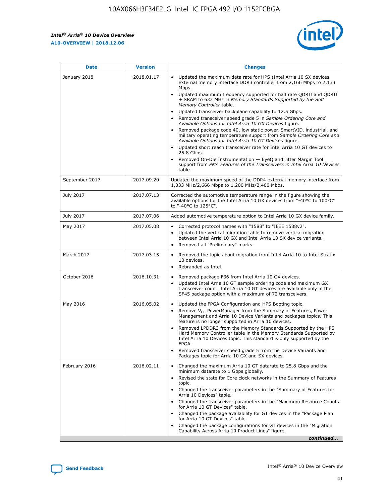$\mathsf{r}$ 



| <b>Date</b>    | <b>Version</b> | <b>Changes</b>                                                                                                                                                                                                                                                                                                                                                                                                                                                                                                                                                                                                                                                                                                                                                                                                                                                                                                                                                                         |
|----------------|----------------|----------------------------------------------------------------------------------------------------------------------------------------------------------------------------------------------------------------------------------------------------------------------------------------------------------------------------------------------------------------------------------------------------------------------------------------------------------------------------------------------------------------------------------------------------------------------------------------------------------------------------------------------------------------------------------------------------------------------------------------------------------------------------------------------------------------------------------------------------------------------------------------------------------------------------------------------------------------------------------------|
| January 2018   | 2018.01.17     | Updated the maximum data rate for HPS (Intel Arria 10 SX devices<br>external memory interface DDR3 controller from 2,166 Mbps to 2,133<br>Mbps.<br>Updated maximum frequency supported for half rate QDRII and QDRII<br>$\bullet$<br>+ SRAM to 633 MHz in Memory Standards Supported by the Soft<br>Memory Controller table.<br>Updated transceiver backplane capability to 12.5 Gbps.<br>$\bullet$<br>Removed transceiver speed grade 5 in Sample Ordering Core and<br>Available Options for Intel Arria 10 GX Devices figure.<br>Removed package code 40, low static power, SmartVID, industrial, and<br>military operating temperature support from Sample Ordering Core and<br>Available Options for Intel Arria 10 GT Devices figure.<br>Updated short reach transceiver rate for Intel Arria 10 GT devices to<br>25.8 Gbps.<br>Removed On-Die Instrumentation - EyeQ and Jitter Margin Tool<br>support from PMA Features of the Transceivers in Intel Arria 10 Devices<br>table. |
| September 2017 | 2017.09.20     | Updated the maximum speed of the DDR4 external memory interface from<br>1,333 MHz/2,666 Mbps to 1,200 MHz/2,400 Mbps.                                                                                                                                                                                                                                                                                                                                                                                                                                                                                                                                                                                                                                                                                                                                                                                                                                                                  |
| July 2017      | 2017.07.13     | Corrected the automotive temperature range in the figure showing the<br>available options for the Intel Arria 10 GX devices from "-40°C to 100°C"<br>to "-40°C to 125°C".                                                                                                                                                                                                                                                                                                                                                                                                                                                                                                                                                                                                                                                                                                                                                                                                              |
| July 2017      | 2017.07.06     | Added automotive temperature option to Intel Arria 10 GX device family.                                                                                                                                                                                                                                                                                                                                                                                                                                                                                                                                                                                                                                                                                                                                                                                                                                                                                                                |
| May 2017       | 2017.05.08     | Corrected protocol names with "1588" to "IEEE 1588v2".<br>$\bullet$<br>Updated the vertical migration table to remove vertical migration<br>$\bullet$<br>between Intel Arria 10 GX and Intel Arria 10 SX device variants.<br>Removed all "Preliminary" marks.<br>$\bullet$                                                                                                                                                                                                                                                                                                                                                                                                                                                                                                                                                                                                                                                                                                             |
| March 2017     | 2017.03.15     | Removed the topic about migration from Intel Arria 10 to Intel Stratix<br>10 devices.<br>Rebranded as Intel.<br>$\bullet$                                                                                                                                                                                                                                                                                                                                                                                                                                                                                                                                                                                                                                                                                                                                                                                                                                                              |
| October 2016   | 2016.10.31     | Removed package F36 from Intel Arria 10 GX devices.<br>Updated Intel Arria 10 GT sample ordering code and maximum GX<br>$\bullet$<br>transceiver count. Intel Arria 10 GT devices are available only in the<br>SF45 package option with a maximum of 72 transceivers.                                                                                                                                                                                                                                                                                                                                                                                                                                                                                                                                                                                                                                                                                                                  |
| May 2016       | 2016.05.02     | Updated the FPGA Configuration and HPS Booting topic.<br>Remove $V_{CC}$ PowerManager from the Summary of Features, Power<br>$\bullet$<br>Management and Arria 10 Device Variants and packages topics. This<br>feature is no longer supported in Arria 10 devices.<br>Removed LPDDR3 from the Memory Standards Supported by the HPS<br>Hard Memory Controller table in the Memory Standards Supported by<br>Intel Arria 10 Devices topic. This standard is only supported by the<br>FPGA.<br>Removed transceiver speed grade 5 from the Device Variants and<br>Packages topic for Arria 10 GX and SX devices.                                                                                                                                                                                                                                                                                                                                                                          |
| February 2016  | 2016.02.11     | Changed the maximum Arria 10 GT datarate to 25.8 Gbps and the<br>minimum datarate to 1 Gbps globally.<br>Revised the state for Core clock networks in the Summary of Features<br>$\bullet$<br>topic.<br>• Changed the transceiver parameters in the "Summary of Features for<br>Arria 10 Devices" table.<br>Changed the transceiver parameters in the "Maximum Resource Counts"<br>$\bullet$<br>for Arria 10 GT Devices" table.<br>• Changed the package availability for GT devices in the "Package Plan<br>for Arria 10 GT Devices" table.<br>Changed the package configurations for GT devices in the "Migration"<br>Capability Across Arria 10 Product Lines" figure.<br>continued                                                                                                                                                                                                                                                                                                 |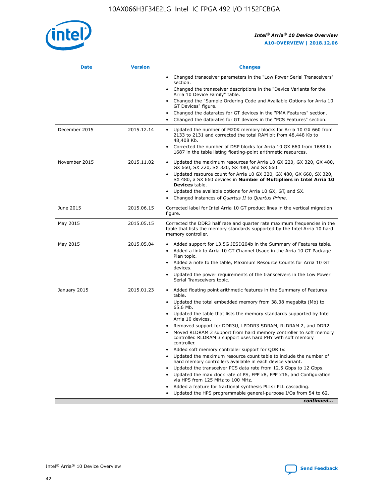

| <b>Date</b>   | <b>Version</b> | <b>Changes</b>                                                                                                                                                               |
|---------------|----------------|------------------------------------------------------------------------------------------------------------------------------------------------------------------------------|
|               |                | • Changed transceiver parameters in the "Low Power Serial Transceivers"<br>section.                                                                                          |
|               |                | • Changed the transceiver descriptions in the "Device Variants for the<br>Arria 10 Device Family" table.                                                                     |
|               |                | Changed the "Sample Ordering Code and Available Options for Arria 10<br>$\bullet$<br>GT Devices" figure.                                                                     |
|               |                | Changed the datarates for GT devices in the "PMA Features" section.                                                                                                          |
|               |                | Changed the datarates for GT devices in the "PCS Features" section.<br>$\bullet$                                                                                             |
| December 2015 | 2015.12.14     | Updated the number of M20K memory blocks for Arria 10 GX 660 from<br>2133 to 2131 and corrected the total RAM bit from 48,448 Kb to<br>48,408 Kb.                            |
|               |                | Corrected the number of DSP blocks for Arria 10 GX 660 from 1688 to<br>1687 in the table listing floating-point arithmetic resources.                                        |
| November 2015 | 2015.11.02     | Updated the maximum resources for Arria 10 GX 220, GX 320, GX 480,<br>$\bullet$<br>GX 660, SX 220, SX 320, SX 480, and SX 660.                                               |
|               |                | • Updated resource count for Arria 10 GX 320, GX 480, GX 660, SX 320,<br>SX 480, a SX 660 devices in Number of Multipliers in Intel Arria 10<br><b>Devices</b> table.        |
|               |                | Updated the available options for Arria 10 GX, GT, and SX.                                                                                                                   |
|               |                | Changed instances of Quartus II to Quartus Prime.<br>$\bullet$                                                                                                               |
| June 2015     | 2015.06.15     | Corrected label for Intel Arria 10 GT product lines in the vertical migration<br>figure.                                                                                     |
| May 2015      | 2015.05.15     | Corrected the DDR3 half rate and quarter rate maximum frequencies in the<br>table that lists the memory standards supported by the Intel Arria 10 hard<br>memory controller. |
| May 2015      | 2015.05.04     | • Added support for 13.5G JESD204b in the Summary of Features table.<br>• Added a link to Arria 10 GT Channel Usage in the Arria 10 GT Package<br>Plan topic.                |
|               |                | • Added a note to the table, Maximum Resource Counts for Arria 10 GT<br>devices.                                                                                             |
|               |                | • Updated the power requirements of the transceivers in the Low Power<br>Serial Transceivers topic.                                                                          |
| January 2015  | 2015.01.23     | • Added floating point arithmetic features in the Summary of Features<br>table.                                                                                              |
|               |                | • Updated the total embedded memory from 38.38 megabits (Mb) to<br>65.6 Mb.                                                                                                  |
|               |                | • Updated the table that lists the memory standards supported by Intel<br>Arria 10 devices.                                                                                  |
|               |                | Removed support for DDR3U, LPDDR3 SDRAM, RLDRAM 2, and DDR2.                                                                                                                 |
|               |                | Moved RLDRAM 3 support from hard memory controller to soft memory<br>controller. RLDRAM 3 support uses hard PHY with soft memory<br>controller.                              |
|               |                | Added soft memory controller support for QDR IV.<br>٠                                                                                                                        |
|               |                | Updated the maximum resource count table to include the number of<br>hard memory controllers available in each device variant.                                               |
|               |                | Updated the transceiver PCS data rate from 12.5 Gbps to 12 Gbps.<br>$\bullet$                                                                                                |
|               |                | Updated the max clock rate of PS, FPP x8, FPP x16, and Configuration<br>via HPS from 125 MHz to 100 MHz.                                                                     |
|               |                | Added a feature for fractional synthesis PLLs: PLL cascading.                                                                                                                |
|               |                | Updated the HPS programmable general-purpose I/Os from 54 to 62.<br>$\bullet$<br>continued                                                                                   |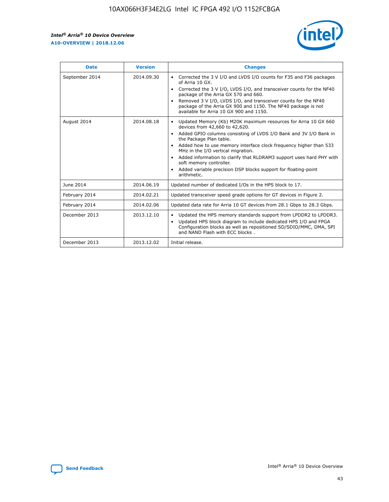r



| <b>Date</b>    | <b>Version</b> | <b>Changes</b>                                                                                                                                                                                                                                                                                                                                                                                                                                                                                                                                      |
|----------------|----------------|-----------------------------------------------------------------------------------------------------------------------------------------------------------------------------------------------------------------------------------------------------------------------------------------------------------------------------------------------------------------------------------------------------------------------------------------------------------------------------------------------------------------------------------------------------|
| September 2014 | 2014.09.30     | Corrected the 3 V I/O and LVDS I/O counts for F35 and F36 packages<br>$\bullet$<br>of Arria 10 GX.<br>Corrected the 3 V I/O, LVDS I/O, and transceiver counts for the NF40<br>$\bullet$<br>package of the Arria GX 570 and 660.<br>Removed 3 V I/O, LVDS I/O, and transceiver counts for the NF40<br>$\bullet$<br>package of the Arria GX 900 and 1150. The NF40 package is not<br>available for Arria 10 GX 900 and 1150.                                                                                                                          |
| August 2014    | 2014.08.18     | Updated Memory (Kb) M20K maximum resources for Arria 10 GX 660<br>devices from 42,660 to 42,620.<br>Added GPIO columns consisting of LVDS I/O Bank and 3V I/O Bank in<br>$\bullet$<br>the Package Plan table.<br>Added how to use memory interface clock frequency higher than 533<br>$\bullet$<br>MHz in the I/O vertical migration.<br>Added information to clarify that RLDRAM3 support uses hard PHY with<br>$\bullet$<br>soft memory controller.<br>Added variable precision DSP blocks support for floating-point<br>$\bullet$<br>arithmetic. |
| June 2014      | 2014.06.19     | Updated number of dedicated I/Os in the HPS block to 17.                                                                                                                                                                                                                                                                                                                                                                                                                                                                                            |
| February 2014  | 2014.02.21     | Updated transceiver speed grade options for GT devices in Figure 2.                                                                                                                                                                                                                                                                                                                                                                                                                                                                                 |
| February 2014  | 2014.02.06     | Updated data rate for Arria 10 GT devices from 28.1 Gbps to 28.3 Gbps.                                                                                                                                                                                                                                                                                                                                                                                                                                                                              |
| December 2013  | 2013.12.10     | Updated the HPS memory standards support from LPDDR2 to LPDDR3.<br>Updated HPS block diagram to include dedicated HPS I/O and FPGA<br>$\bullet$<br>Configuration blocks as well as repositioned SD/SDIO/MMC, DMA, SPI<br>and NAND Flash with ECC blocks.                                                                                                                                                                                                                                                                                            |
| December 2013  | 2013.12.02     | Initial release.                                                                                                                                                                                                                                                                                                                                                                                                                                                                                                                                    |